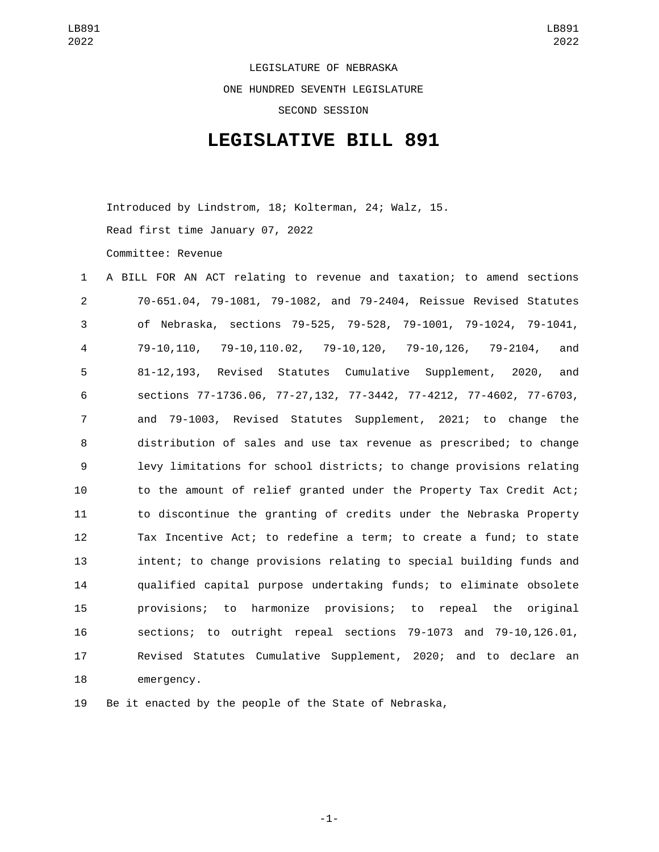LEGISLATURE OF NEBRASKA ONE HUNDRED SEVENTH LEGISLATURE SECOND SESSION

## **LEGISLATIVE BILL 891**

Introduced by Lindstrom, 18; Kolterman, 24; Walz, 15. Read first time January 07, 2022 Committee: Revenue

| $\mathbf{1}$   | A BILL FOR AN ACT relating to revenue and taxation; to amend sections   |
|----------------|-------------------------------------------------------------------------|
| $\overline{2}$ | 70-651.04, 79-1081, 79-1082, and 79-2404, Reissue Revised Statutes      |
| 3              | of Nebraska, sections 79-525, 79-528, 79-1001, 79-1024, 79-1041,        |
| 4              | 79-10,110, 79-10,110.02, 79-10,120, 79-10,126, 79-2104,<br>and          |
| 5              | Revised Statutes Cumulative Supplement, 2020,<br>$81 - 12, 193,$<br>and |
| 6              | sections 77-1736.06, 77-27,132, 77-3442, 77-4212, 77-4602, 77-6703,     |
| $\overline{7}$ | and 79-1003, Revised Statutes Supplement, 2021; to change the           |
| 8              | distribution of sales and use tax revenue as prescribed; to change      |
| 9              | levy limitations for school districts; to change provisions relating    |
| 10             | to the amount of relief granted under the Property Tax Credit Act;      |
| 11             | to discontinue the granting of credits under the Nebraska Property      |
| 12             | Tax Incentive Act; to redefine a term; to create a fund; to state       |
| 13             | intent; to change provisions relating to special building funds and     |
| 14             | qualified capital purpose undertaking funds; to eliminate obsolete      |
| 15             | provisions; to harmonize provisions; to repeal the original             |
| 16             | sections; to outright repeal sections 79-1073 and 79-10,126.01,         |
| 17             | Revised Statutes Cumulative Supplement, 2020; and to declare an         |
| 18             | emergency.                                                              |

Be it enacted by the people of the State of Nebraska,

-1-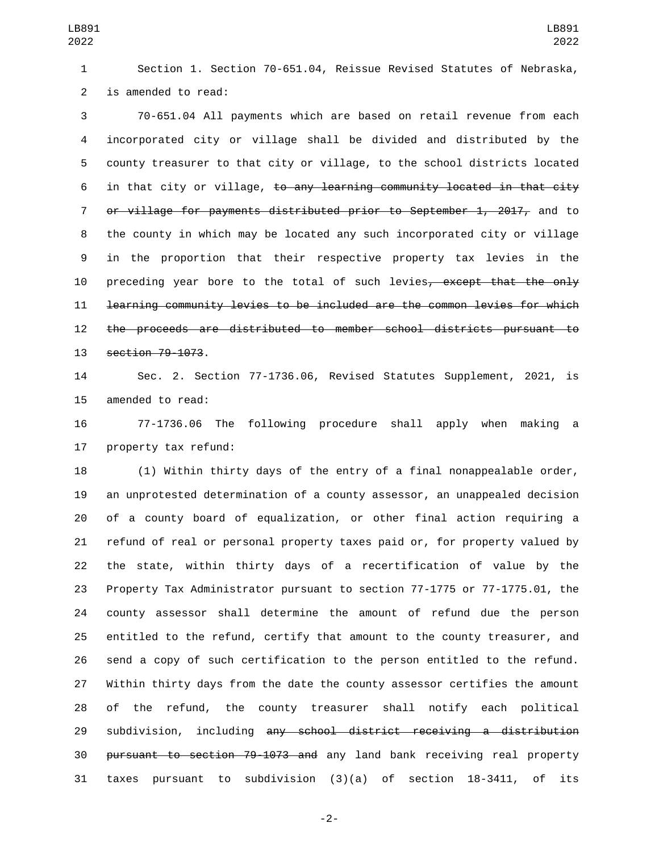Section 1. Section 70-651.04, Reissue Revised Statutes of Nebraska, 2 is amended to read:

 70-651.04 All payments which are based on retail revenue from each incorporated city or village shall be divided and distributed by the county treasurer to that city or village, to the school districts located in that city or village, to any learning community located in that city or village for payments distributed prior to September 1, 2017, and to the county in which may be located any such incorporated city or village in the proportion that their respective property tax levies in the 10 preceding year bore to the total of such levies, except that the only learning community levies to be included are the common levies for which the proceeds are distributed to member school districts pursuant to 13 section 79-1073.

 Sec. 2. Section 77-1736.06, Revised Statutes Supplement, 2021, is 15 amended to read:

 77-1736.06 The following procedure shall apply when making a 17 property tax refund:

 (1) Within thirty days of the entry of a final nonappealable order, an unprotested determination of a county assessor, an unappealed decision of a county board of equalization, or other final action requiring a refund of real or personal property taxes paid or, for property valued by the state, within thirty days of a recertification of value by the Property Tax Administrator pursuant to section 77-1775 or 77-1775.01, the county assessor shall determine the amount of refund due the person entitled to the refund, certify that amount to the county treasurer, and send a copy of such certification to the person entitled to the refund. Within thirty days from the date the county assessor certifies the amount of the refund, the county treasurer shall notify each political 29 subdivision, including any school district receiving a distribution pursuant to section 79-1073 and any land bank receiving real property taxes pursuant to subdivision (3)(a) of section 18-3411, of its

-2-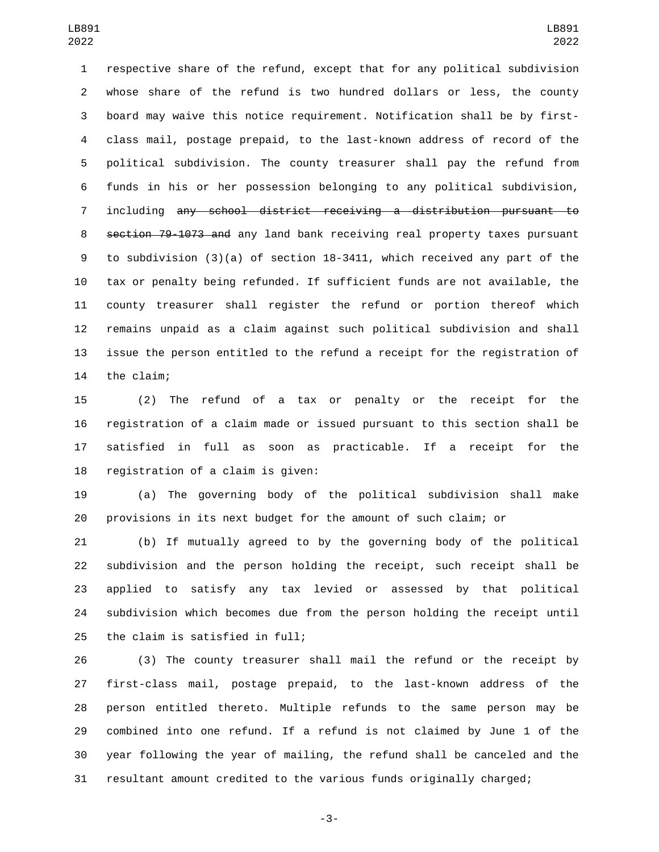respective share of the refund, except that for any political subdivision whose share of the refund is two hundred dollars or less, the county board may waive this notice requirement. Notification shall be by first- class mail, postage prepaid, to the last-known address of record of the political subdivision. The county treasurer shall pay the refund from funds in his or her possession belonging to any political subdivision, including any school district receiving a distribution pursuant to section 79-1073 and any land bank receiving real property taxes pursuant to subdivision (3)(a) of section 18-3411, which received any part of the tax or penalty being refunded. If sufficient funds are not available, the county treasurer shall register the refund or portion thereof which remains unpaid as a claim against such political subdivision and shall issue the person entitled to the refund a receipt for the registration of 14 the claim;

 (2) The refund of a tax or penalty or the receipt for the registration of a claim made or issued pursuant to this section shall be satisfied in full as soon as practicable. If a receipt for the 18 registration of a claim is given:

 (a) The governing body of the political subdivision shall make provisions in its next budget for the amount of such claim; or

 (b) If mutually agreed to by the governing body of the political subdivision and the person holding the receipt, such receipt shall be applied to satisfy any tax levied or assessed by that political subdivision which becomes due from the person holding the receipt until 25 the claim is satisfied in  $full;$ 

 (3) The county treasurer shall mail the refund or the receipt by first-class mail, postage prepaid, to the last-known address of the person entitled thereto. Multiple refunds to the same person may be combined into one refund. If a refund is not claimed by June 1 of the year following the year of mailing, the refund shall be canceled and the resultant amount credited to the various funds originally charged;

-3-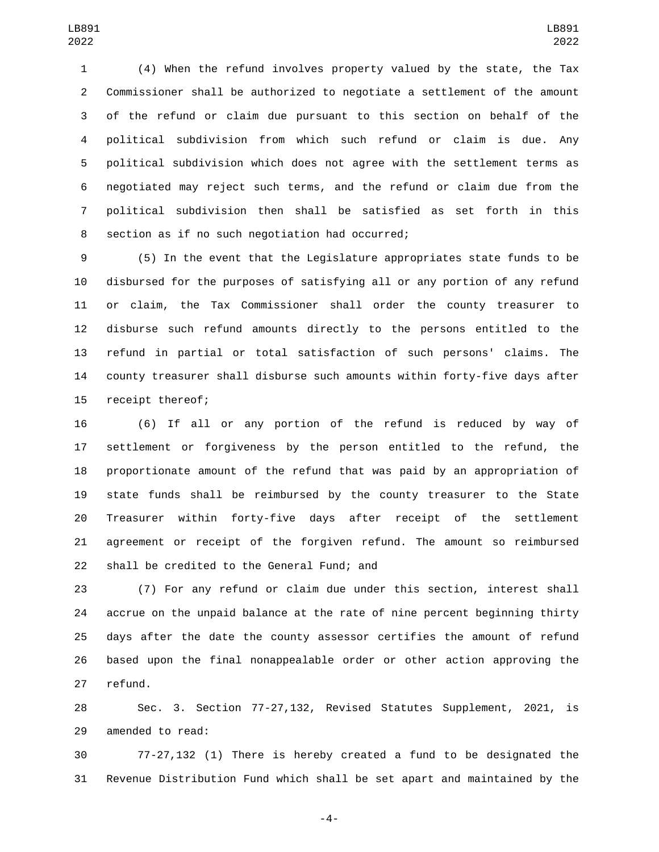(4) When the refund involves property valued by the state, the Tax Commissioner shall be authorized to negotiate a settlement of the amount of the refund or claim due pursuant to this section on behalf of the political subdivision from which such refund or claim is due. Any political subdivision which does not agree with the settlement terms as negotiated may reject such terms, and the refund or claim due from the political subdivision then shall be satisfied as set forth in this 8 section as if no such negotiation had occurred;

 (5) In the event that the Legislature appropriates state funds to be disbursed for the purposes of satisfying all or any portion of any refund or claim, the Tax Commissioner shall order the county treasurer to disburse such refund amounts directly to the persons entitled to the refund in partial or total satisfaction of such persons' claims. The county treasurer shall disburse such amounts within forty-five days after 15 receipt thereof;

 (6) If all or any portion of the refund is reduced by way of settlement or forgiveness by the person entitled to the refund, the proportionate amount of the refund that was paid by an appropriation of state funds shall be reimbursed by the county treasurer to the State Treasurer within forty-five days after receipt of the settlement agreement or receipt of the forgiven refund. The amount so reimbursed 22 shall be credited to the General Fund; and

 (7) For any refund or claim due under this section, interest shall accrue on the unpaid balance at the rate of nine percent beginning thirty days after the date the county assessor certifies the amount of refund based upon the final nonappealable order or other action approving the 27 refund.

 Sec. 3. Section 77-27,132, Revised Statutes Supplement, 2021, is 29 amended to read:

 77-27,132 (1) There is hereby created a fund to be designated the Revenue Distribution Fund which shall be set apart and maintained by the

-4-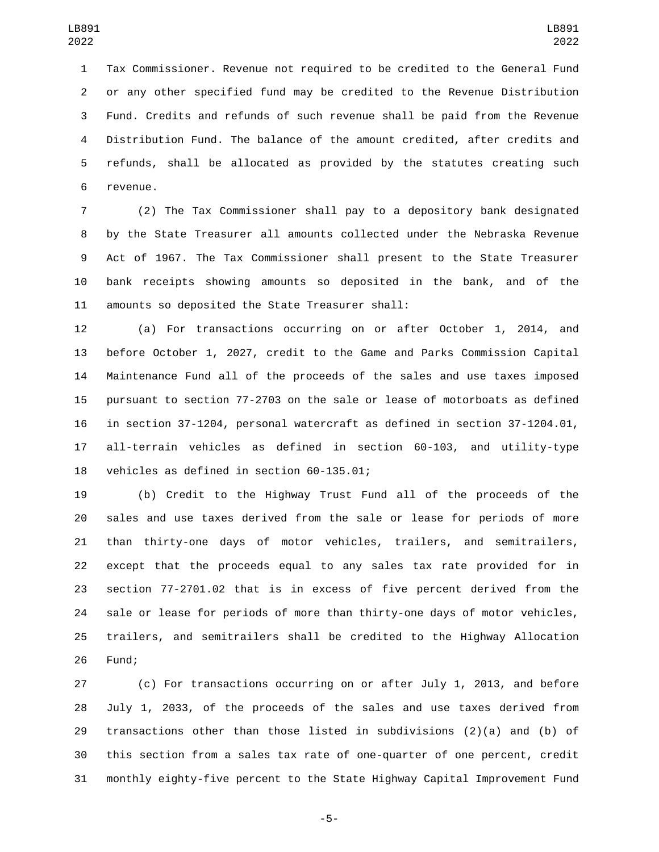Tax Commissioner. Revenue not required to be credited to the General Fund or any other specified fund may be credited to the Revenue Distribution Fund. Credits and refunds of such revenue shall be paid from the Revenue Distribution Fund. The balance of the amount credited, after credits and refunds, shall be allocated as provided by the statutes creating such 6 revenue.

 (2) The Tax Commissioner shall pay to a depository bank designated by the State Treasurer all amounts collected under the Nebraska Revenue Act of 1967. The Tax Commissioner shall present to the State Treasurer bank receipts showing amounts so deposited in the bank, and of the 11 amounts so deposited the State Treasurer shall:

 (a) For transactions occurring on or after October 1, 2014, and before October 1, 2027, credit to the Game and Parks Commission Capital Maintenance Fund all of the proceeds of the sales and use taxes imposed pursuant to section 77-2703 on the sale or lease of motorboats as defined in section 37-1204, personal watercraft as defined in section 37-1204.01, all-terrain vehicles as defined in section 60-103, and utility-type 18 vehicles as defined in section 60-135.01;

 (b) Credit to the Highway Trust Fund all of the proceeds of the sales and use taxes derived from the sale or lease for periods of more than thirty-one days of motor vehicles, trailers, and semitrailers, except that the proceeds equal to any sales tax rate provided for in section 77-2701.02 that is in excess of five percent derived from the sale or lease for periods of more than thirty-one days of motor vehicles, trailers, and semitrailers shall be credited to the Highway Allocation 26 Fund;

 (c) For transactions occurring on or after July 1, 2013, and before July 1, 2033, of the proceeds of the sales and use taxes derived from transactions other than those listed in subdivisions (2)(a) and (b) of this section from a sales tax rate of one-quarter of one percent, credit monthly eighty-five percent to the State Highway Capital Improvement Fund

-5-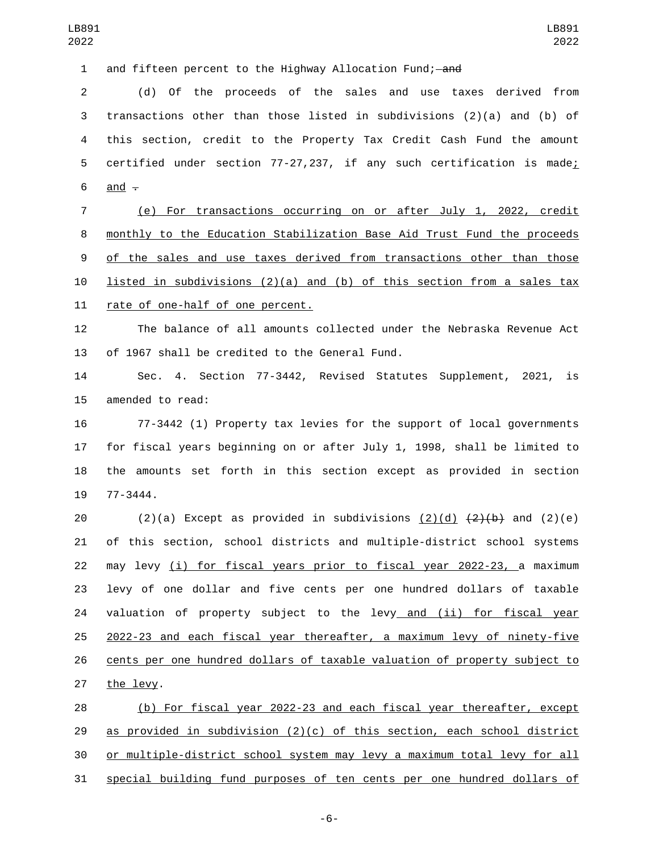1 and fifteen percent to the Highway Allocation Fund; and

 (d) Of the proceeds of the sales and use taxes derived from transactions other than those listed in subdivisions (2)(a) and (b) of this section, credit to the Property Tax Credit Cash Fund the amount certified under section 77-27,237, if any such certification is made;  $\frac{and}{ }$   $\frac{ }{ }$ 

 (e) For transactions occurring on or after July 1, 2022, credit monthly to the Education Stabilization Base Aid Trust Fund the proceeds of the sales and use taxes derived from transactions other than those 10 listed in subdivisions (2)(a) and (b) of this section from a sales tax 11 rate of one-half of one percent.

 The balance of all amounts collected under the Nebraska Revenue Act 13 of 1967 shall be credited to the General Fund.

 Sec. 4. Section 77-3442, Revised Statutes Supplement, 2021, is 15 amended to read:

 77-3442 (1) Property tax levies for the support of local governments for fiscal years beginning on or after July 1, 1998, shall be limited to the amounts set forth in this section except as provided in section 19 77-3444.

20 (2)(a) Except as provided in subdivisions (2)(d)  $\{2\}$ (b) and (2)(e) of this section, school districts and multiple-district school systems may levy (i) for fiscal years prior to fiscal year 2022-23, a maximum levy of one dollar and five cents per one hundred dollars of taxable 24 valuation of property subject to the levy and (ii) for fiscal year 2022-23 and each fiscal year thereafter, a maximum levy of ninety-five cents per one hundred dollars of taxable valuation of property subject to 27 the levy.

 (b) For fiscal year 2022-23 and each fiscal year thereafter, except 29 as provided in subdivision  $(2)(c)$  of this section, each school district or multiple-district school system may levy a maximum total levy for all special building fund purposes of ten cents per one hundred dollars of

-6-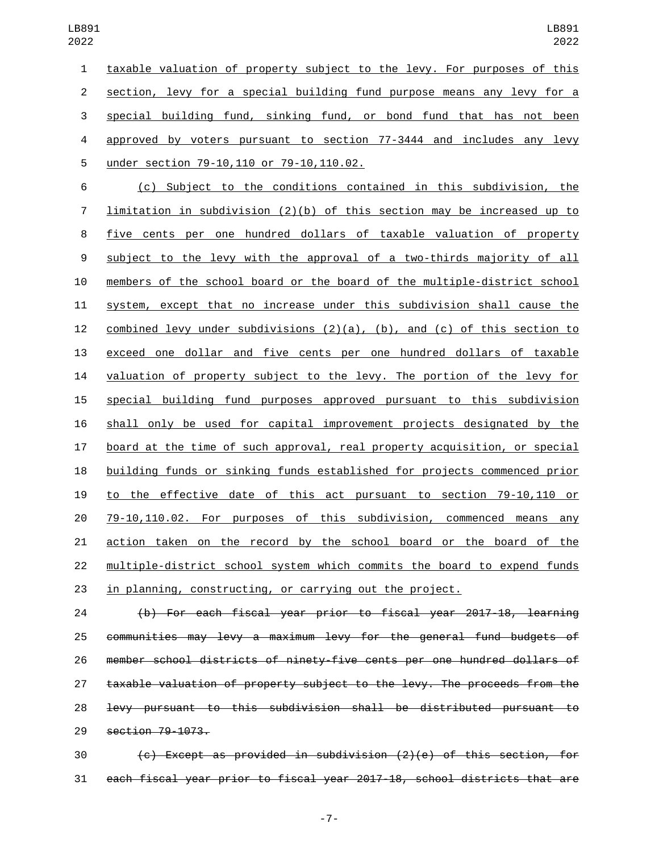taxable valuation of property subject to the levy. For purposes of this section, levy for a special building fund purpose means any levy for a special building fund, sinking fund, or bond fund that has not been 4 approved by voters pursuant to section 77-3444 and includes any levy under section 79-10,110 or 79-10,110.02.5

 (c) Subject to the conditions contained in this subdivision, the limitation in subdivision (2)(b) of this section may be increased up to five cents per one hundred dollars of taxable valuation of property subject to the levy with the approval of a two-thirds majority of all members of the school board or the board of the multiple-district school system, except that no increase under this subdivision shall cause the 12 combined levy under subdivisions  $(2)(a)$ ,  $(b)$ , and  $(c)$  of this section to exceed one dollar and five cents per one hundred dollars of taxable valuation of property subject to the levy. The portion of the levy for special building fund purposes approved pursuant to this subdivision shall only be used for capital improvement projects designated by the board at the time of such approval, real property acquisition, or special building funds or sinking funds established for projects commenced prior to the effective date of this act pursuant to section 79-10,110 or 79-10,110.02. For purposes of this subdivision, commenced means any action taken on the record by the school board or the board of the multiple-district school system which commits the board to expend funds in planning, constructing, or carrying out the project.

 (b) For each fiscal year prior to fiscal year 2017-18, learning communities may levy a maximum levy for the general fund budgets of member school districts of ninety-five cents per one hundred dollars of taxable valuation of property subject to the levy. The proceeds from the levy pursuant to this subdivision shall be distributed pursuant to 29 section 79-1073.

 (c) Except as provided in subdivision (2)(e) of this section, for each fiscal year prior to fiscal year 2017-18, school districts that are

-7-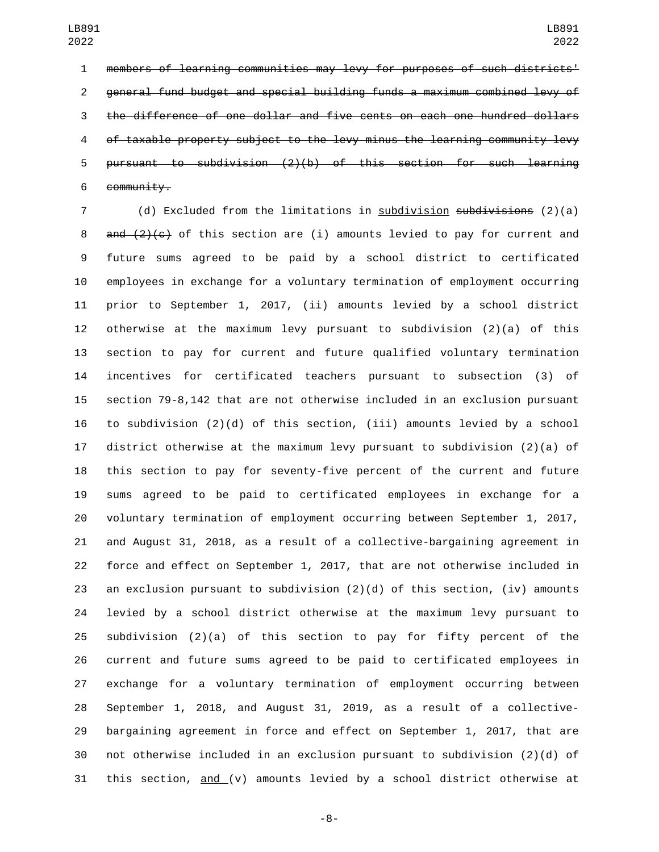members of learning communities may levy for purposes of such districts' general fund budget and special building funds a maximum combined levy of the difference of one dollar and five cents on each one hundred dollars of taxable property subject to the levy minus the learning community levy pursuant to subdivision (2)(b) of this section for such learning community.

7 (d) Excluded from the limitations in subdivision subdivisions (2)(a) 8 and  $(2)(c)$  of this section are (i) amounts levied to pay for current and future sums agreed to be paid by a school district to certificated employees in exchange for a voluntary termination of employment occurring prior to September 1, 2017, (ii) amounts levied by a school district otherwise at the maximum levy pursuant to subdivision (2)(a) of this section to pay for current and future qualified voluntary termination incentives for certificated teachers pursuant to subsection (3) of section 79-8,142 that are not otherwise included in an exclusion pursuant to subdivision (2)(d) of this section, (iii) amounts levied by a school district otherwise at the maximum levy pursuant to subdivision (2)(a) of this section to pay for seventy-five percent of the current and future sums agreed to be paid to certificated employees in exchange for a voluntary termination of employment occurring between September 1, 2017, and August 31, 2018, as a result of a collective-bargaining agreement in force and effect on September 1, 2017, that are not otherwise included in an exclusion pursuant to subdivision (2)(d) of this section, (iv) amounts levied by a school district otherwise at the maximum levy pursuant to subdivision (2)(a) of this section to pay for fifty percent of the current and future sums agreed to be paid to certificated employees in exchange for a voluntary termination of employment occurring between September 1, 2018, and August 31, 2019, as a result of a collective- bargaining agreement in force and effect on September 1, 2017, that are not otherwise included in an exclusion pursuant to subdivision (2)(d) of 31 this section, and (v) amounts levied by a school district otherwise at

-8-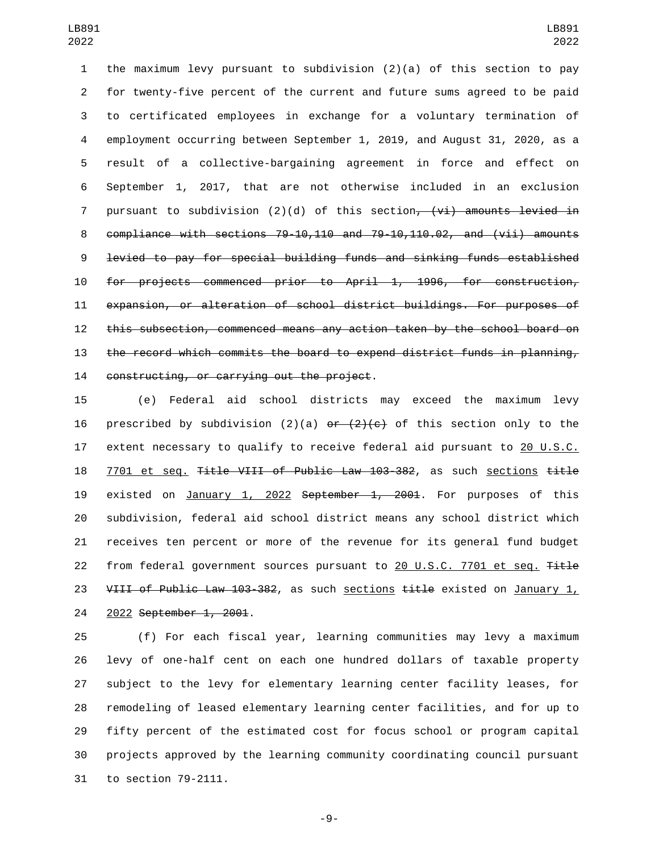the maximum levy pursuant to subdivision (2)(a) of this section to pay for twenty-five percent of the current and future sums agreed to be paid to certificated employees in exchange for a voluntary termination of employment occurring between September 1, 2019, and August 31, 2020, as a result of a collective-bargaining agreement in force and effect on September 1, 2017, that are not otherwise included in an exclusion 7 pursuant to subdivision  $(2)(d)$  of this section<del>,  $(vi)$  amounts levied in</del> compliance with sections 79-10,110 and 79-10,110.02, and (vii) amounts levied to pay for special building funds and sinking funds established for projects commenced prior to April 1, 1996, for construction, expansion, or alteration of school district buildings. For purposes of this subsection, commenced means any action taken by the school board on the record which commits the board to expend district funds in planning, 14 constructing, or carrying out the project.

 (e) Federal aid school districts may exceed the maximum levy 16 prescribed by subdivision (2)(a)  $er$  (2)(c) of this section only to the 17 extent necessary to qualify to receive federal aid pursuant to 20 U.S.C. 7701 et seq. Title VIII of Public Law 103-382, as such sections title 19 existed on January 1, 2022 September 1, 2001. For purposes of this subdivision, federal aid school district means any school district which receives ten percent or more of the revenue for its general fund budget 22 from federal government sources pursuant to 20 U.S.C. 7701 et seq. Title 23 VIII of Public Law 103-382, as such sections title existed on January 1, 24 2022 September 1, 2001.

 (f) For each fiscal year, learning communities may levy a maximum levy of one-half cent on each one hundred dollars of taxable property subject to the levy for elementary learning center facility leases, for remodeling of leased elementary learning center facilities, and for up to fifty percent of the estimated cost for focus school or program capital projects approved by the learning community coordinating council pursuant 31 to section 79-2111.

-9-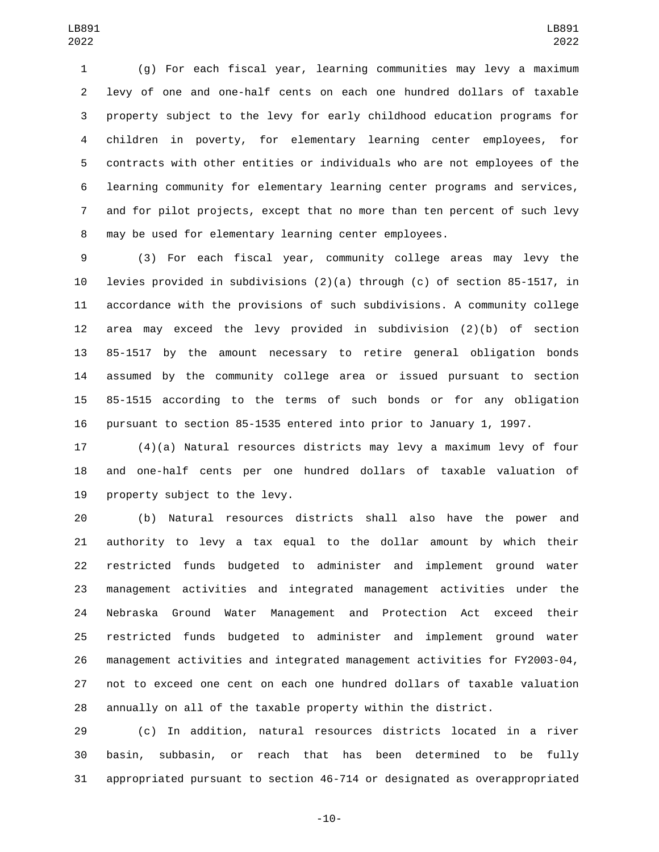(g) For each fiscal year, learning communities may levy a maximum levy of one and one-half cents on each one hundred dollars of taxable property subject to the levy for early childhood education programs for children in poverty, for elementary learning center employees, for contracts with other entities or individuals who are not employees of the learning community for elementary learning center programs and services, and for pilot projects, except that no more than ten percent of such levy may be used for elementary learning center employees.

 (3) For each fiscal year, community college areas may levy the levies provided in subdivisions (2)(a) through (c) of section 85-1517, in accordance with the provisions of such subdivisions. A community college area may exceed the levy provided in subdivision (2)(b) of section 85-1517 by the amount necessary to retire general obligation bonds assumed by the community college area or issued pursuant to section 85-1515 according to the terms of such bonds or for any obligation pursuant to section 85-1535 entered into prior to January 1, 1997.

 (4)(a) Natural resources districts may levy a maximum levy of four and one-half cents per one hundred dollars of taxable valuation of 19 property subject to the levy.

 (b) Natural resources districts shall also have the power and authority to levy a tax equal to the dollar amount by which their restricted funds budgeted to administer and implement ground water management activities and integrated management activities under the Nebraska Ground Water Management and Protection Act exceed their restricted funds budgeted to administer and implement ground water management activities and integrated management activities for FY2003-04, not to exceed one cent on each one hundred dollars of taxable valuation annually on all of the taxable property within the district.

 (c) In addition, natural resources districts located in a river basin, subbasin, or reach that has been determined to be fully appropriated pursuant to section 46-714 or designated as overappropriated

-10-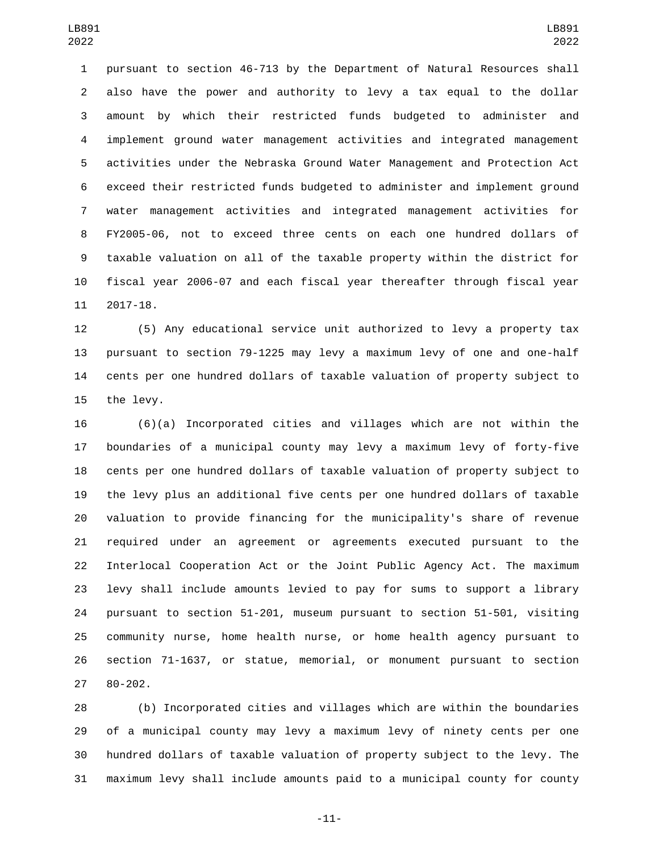pursuant to section 46-713 by the Department of Natural Resources shall also have the power and authority to levy a tax equal to the dollar amount by which their restricted funds budgeted to administer and implement ground water management activities and integrated management activities under the Nebraska Ground Water Management and Protection Act exceed their restricted funds budgeted to administer and implement ground water management activities and integrated management activities for FY2005-06, not to exceed three cents on each one hundred dollars of taxable valuation on all of the taxable property within the district for fiscal year 2006-07 and each fiscal year thereafter through fiscal year 11 2017-18.

 (5) Any educational service unit authorized to levy a property tax pursuant to section 79-1225 may levy a maximum levy of one and one-half cents per one hundred dollars of taxable valuation of property subject to 15 the levy.

 (6)(a) Incorporated cities and villages which are not within the boundaries of a municipal county may levy a maximum levy of forty-five cents per one hundred dollars of taxable valuation of property subject to the levy plus an additional five cents per one hundred dollars of taxable valuation to provide financing for the municipality's share of revenue required under an agreement or agreements executed pursuant to the Interlocal Cooperation Act or the Joint Public Agency Act. The maximum levy shall include amounts levied to pay for sums to support a library pursuant to section 51-201, museum pursuant to section 51-501, visiting community nurse, home health nurse, or home health agency pursuant to section 71-1637, or statue, memorial, or monument pursuant to section 27 80-202.

 (b) Incorporated cities and villages which are within the boundaries of a municipal county may levy a maximum levy of ninety cents per one hundred dollars of taxable valuation of property subject to the levy. The maximum levy shall include amounts paid to a municipal county for county

-11-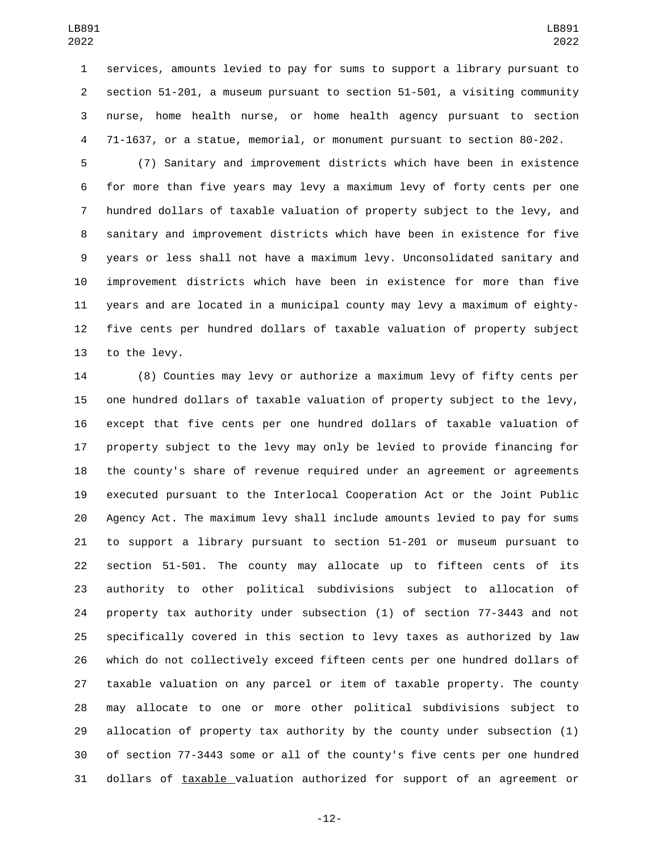services, amounts levied to pay for sums to support a library pursuant to section 51-201, a museum pursuant to section 51-501, a visiting community nurse, home health nurse, or home health agency pursuant to section 71-1637, or a statue, memorial, or monument pursuant to section 80-202.

 (7) Sanitary and improvement districts which have been in existence for more than five years may levy a maximum levy of forty cents per one hundred dollars of taxable valuation of property subject to the levy, and sanitary and improvement districts which have been in existence for five years or less shall not have a maximum levy. Unconsolidated sanitary and improvement districts which have been in existence for more than five years and are located in a municipal county may levy a maximum of eighty- five cents per hundred dollars of taxable valuation of property subject 13 to the levy.

 (8) Counties may levy or authorize a maximum levy of fifty cents per one hundred dollars of taxable valuation of property subject to the levy, except that five cents per one hundred dollars of taxable valuation of property subject to the levy may only be levied to provide financing for the county's share of revenue required under an agreement or agreements executed pursuant to the Interlocal Cooperation Act or the Joint Public Agency Act. The maximum levy shall include amounts levied to pay for sums to support a library pursuant to section 51-201 or museum pursuant to section 51-501. The county may allocate up to fifteen cents of its authority to other political subdivisions subject to allocation of property tax authority under subsection (1) of section 77-3443 and not specifically covered in this section to levy taxes as authorized by law which do not collectively exceed fifteen cents per one hundred dollars of taxable valuation on any parcel or item of taxable property. The county may allocate to one or more other political subdivisions subject to allocation of property tax authority by the county under subsection (1) of section 77-3443 some or all of the county's five cents per one hundred dollars of taxable valuation authorized for support of an agreement or

-12-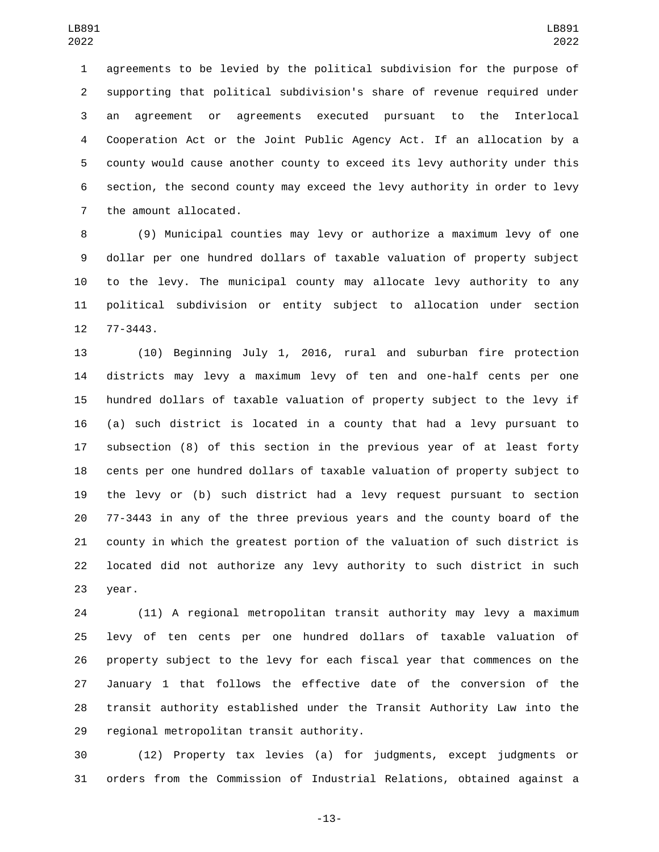agreements to be levied by the political subdivision for the purpose of supporting that political subdivision's share of revenue required under an agreement or agreements executed pursuant to the Interlocal Cooperation Act or the Joint Public Agency Act. If an allocation by a county would cause another county to exceed its levy authority under this section, the second county may exceed the levy authority in order to levy 7 the amount allocated.

 (9) Municipal counties may levy or authorize a maximum levy of one dollar per one hundred dollars of taxable valuation of property subject to the levy. The municipal county may allocate levy authority to any political subdivision or entity subject to allocation under section 12 77-3443.

 (10) Beginning July 1, 2016, rural and suburban fire protection districts may levy a maximum levy of ten and one-half cents per one hundred dollars of taxable valuation of property subject to the levy if (a) such district is located in a county that had a levy pursuant to subsection (8) of this section in the previous year of at least forty cents per one hundred dollars of taxable valuation of property subject to the levy or (b) such district had a levy request pursuant to section 77-3443 in any of the three previous years and the county board of the county in which the greatest portion of the valuation of such district is located did not authorize any levy authority to such district in such 23 year.

 (11) A regional metropolitan transit authority may levy a maximum levy of ten cents per one hundred dollars of taxable valuation of property subject to the levy for each fiscal year that commences on the January 1 that follows the effective date of the conversion of the transit authority established under the Transit Authority Law into the 29 regional metropolitan transit authority.

 (12) Property tax levies (a) for judgments, except judgments or orders from the Commission of Industrial Relations, obtained against a

-13-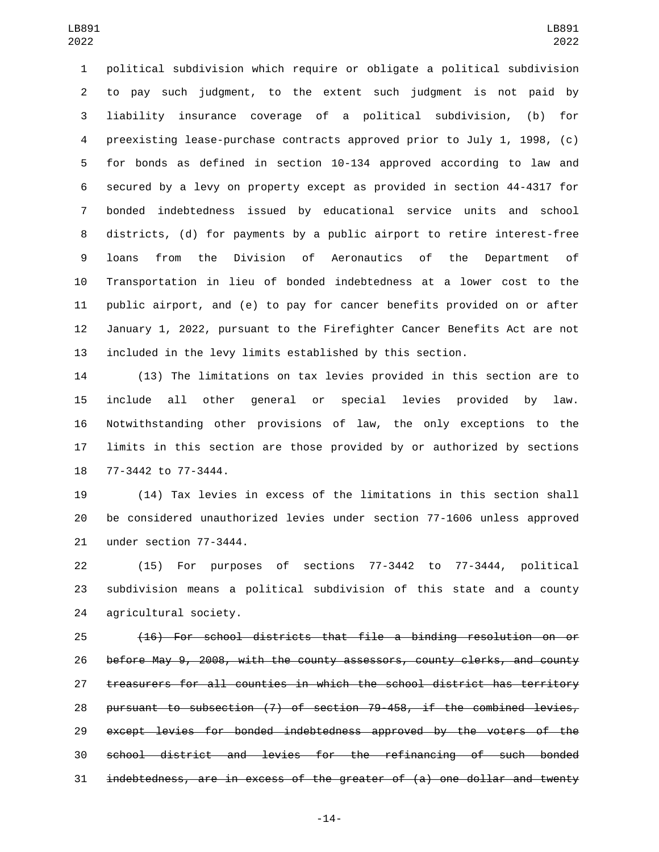political subdivision which require or obligate a political subdivision to pay such judgment, to the extent such judgment is not paid by liability insurance coverage of a political subdivision, (b) for preexisting lease-purchase contracts approved prior to July 1, 1998, (c) for bonds as defined in section 10-134 approved according to law and secured by a levy on property except as provided in section 44-4317 for bonded indebtedness issued by educational service units and school districts, (d) for payments by a public airport to retire interest-free loans from the Division of Aeronautics of the Department of Transportation in lieu of bonded indebtedness at a lower cost to the public airport, and (e) to pay for cancer benefits provided on or after January 1, 2022, pursuant to the Firefighter Cancer Benefits Act are not included in the levy limits established by this section.

 (13) The limitations on tax levies provided in this section are to include all other general or special levies provided by law. Notwithstanding other provisions of law, the only exceptions to the limits in this section are those provided by or authorized by sections 18 77-3442 to 77-3444.

 (14) Tax levies in excess of the limitations in this section shall be considered unauthorized levies under section 77-1606 unless approved 21 under section 77-3444.

 (15) For purposes of sections 77-3442 to 77-3444, political subdivision means a political subdivision of this state and a county 24 agricultural society.

 (16) For school districts that file a binding resolution on or before May 9, 2008, with the county assessors, county clerks, and county treasurers for all counties in which the school district has territory pursuant to subsection (7) of section 79-458, if the combined levies, except levies for bonded indebtedness approved by the voters of the school district and levies for the refinancing of such bonded indebtedness, are in excess of the greater of (a) one dollar and twenty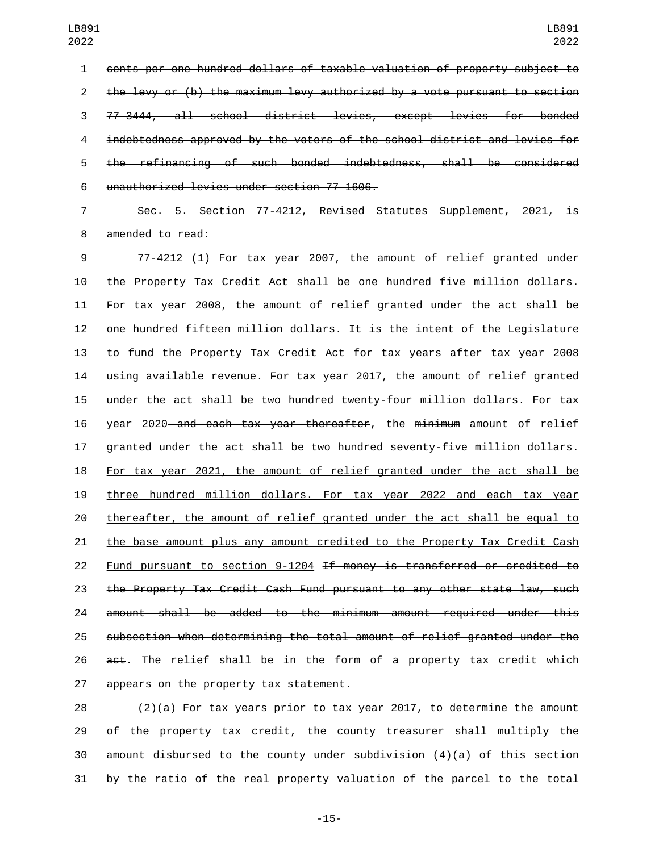cents per one hundred dollars of taxable valuation of property subject to the levy or (b) the maximum levy authorized by a vote pursuant to section 77-3444, all school district levies, except levies for bonded indebtedness approved by the voters of the school district and levies for the refinancing of such bonded indebtedness, shall be considered 6 unauthorized levies under section 77-1606.

 Sec. 5. Section 77-4212, Revised Statutes Supplement, 2021, is 8 amended to read:

 77-4212 (1) For tax year 2007, the amount of relief granted under the Property Tax Credit Act shall be one hundred five million dollars. For tax year 2008, the amount of relief granted under the act shall be one hundred fifteen million dollars. It is the intent of the Legislature to fund the Property Tax Credit Act for tax years after tax year 2008 using available revenue. For tax year 2017, the amount of relief granted under the act shall be two hundred twenty-four million dollars. For tax 16 year 2020 and each tax year thereafter, the minimum amount of relief granted under the act shall be two hundred seventy-five million dollars. For tax year 2021, the amount of relief granted under the act shall be three hundred million dollars. For tax year 2022 and each tax year thereafter, the amount of relief granted under the act shall be equal to the base amount plus any amount credited to the Property Tax Credit Cash Fund pursuant to section 9-1204 If money is transferred or credited to the Property Tax Credit Cash Fund pursuant to any other state law, such amount shall be added to the minimum amount required under this subsection when determining the total amount of relief granted under the  $a$ et. The relief shall be in the form of a property tax credit which 27 appears on the property tax statement.

 (2)(a) For tax years prior to tax year 2017, to determine the amount of the property tax credit, the county treasurer shall multiply the amount disbursed to the county under subdivision (4)(a) of this section by the ratio of the real property valuation of the parcel to the total

-15-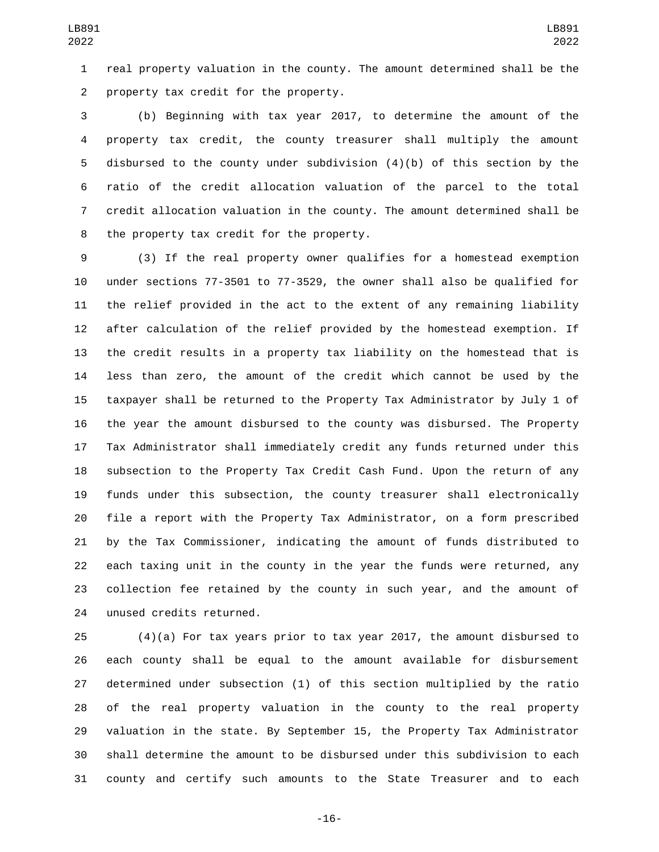real property valuation in the county. The amount determined shall be the 2 property tax credit for the property.

 (b) Beginning with tax year 2017, to determine the amount of the property tax credit, the county treasurer shall multiply the amount disbursed to the county under subdivision (4)(b) of this section by the ratio of the credit allocation valuation of the parcel to the total credit allocation valuation in the county. The amount determined shall be 8 the property tax credit for the property.

 (3) If the real property owner qualifies for a homestead exemption under sections 77-3501 to 77-3529, the owner shall also be qualified for the relief provided in the act to the extent of any remaining liability after calculation of the relief provided by the homestead exemption. If the credit results in a property tax liability on the homestead that is less than zero, the amount of the credit which cannot be used by the taxpayer shall be returned to the Property Tax Administrator by July 1 of the year the amount disbursed to the county was disbursed. The Property Tax Administrator shall immediately credit any funds returned under this subsection to the Property Tax Credit Cash Fund. Upon the return of any funds under this subsection, the county treasurer shall electronically file a report with the Property Tax Administrator, on a form prescribed by the Tax Commissioner, indicating the amount of funds distributed to each taxing unit in the county in the year the funds were returned, any collection fee retained by the county in such year, and the amount of 24 unused credits returned.

 (4)(a) For tax years prior to tax year 2017, the amount disbursed to each county shall be equal to the amount available for disbursement determined under subsection (1) of this section multiplied by the ratio of the real property valuation in the county to the real property valuation in the state. By September 15, the Property Tax Administrator shall determine the amount to be disbursed under this subdivision to each county and certify such amounts to the State Treasurer and to each

-16-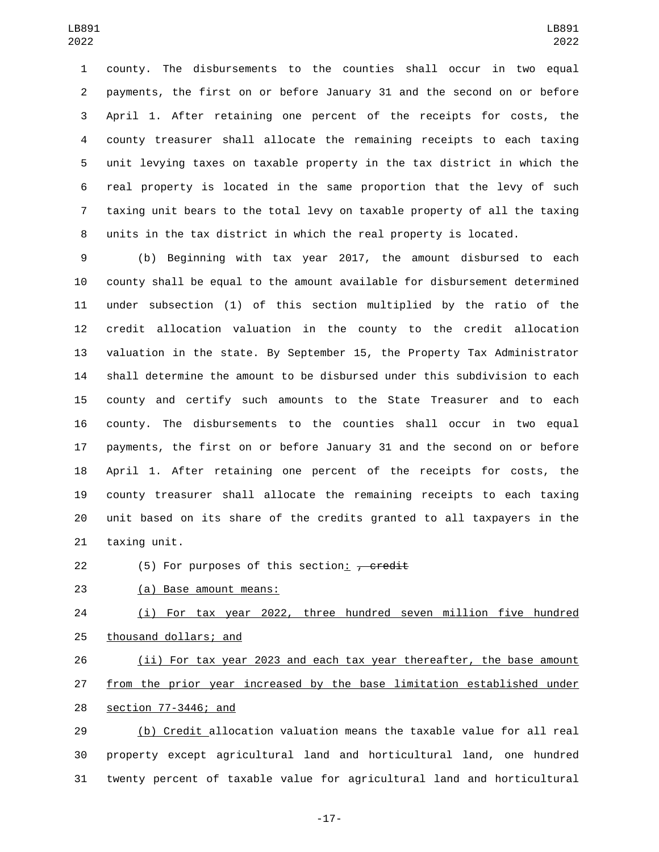county. The disbursements to the counties shall occur in two equal payments, the first on or before January 31 and the second on or before April 1. After retaining one percent of the receipts for costs, the county treasurer shall allocate the remaining receipts to each taxing unit levying taxes on taxable property in the tax district in which the real property is located in the same proportion that the levy of such taxing unit bears to the total levy on taxable property of all the taxing units in the tax district in which the real property is located.

 (b) Beginning with tax year 2017, the amount disbursed to each county shall be equal to the amount available for disbursement determined under subsection (1) of this section multiplied by the ratio of the credit allocation valuation in the county to the credit allocation valuation in the state. By September 15, the Property Tax Administrator shall determine the amount to be disbursed under this subdivision to each county and certify such amounts to the State Treasurer and to each county. The disbursements to the counties shall occur in two equal payments, the first on or before January 31 and the second on or before April 1. After retaining one percent of the receipts for costs, the county treasurer shall allocate the remaining receipts to each taxing unit based on its share of the credits granted to all taxpayers in the 21 taxing unit.

22 (5) For purposes of this section:  $\frac{1}{2}$  credit

23 (a) Base amount means:

24 (i) For tax year 2022, three hundred seven million five hundred 25 thousand dollars; and

 (ii) For tax year 2023 and each tax year thereafter, the base amount from the prior year increased by the base limitation established under 28 section 77-3446; and

 (b) Credit allocation valuation means the taxable value for all real property except agricultural land and horticultural land, one hundred twenty percent of taxable value for agricultural land and horticultural

-17-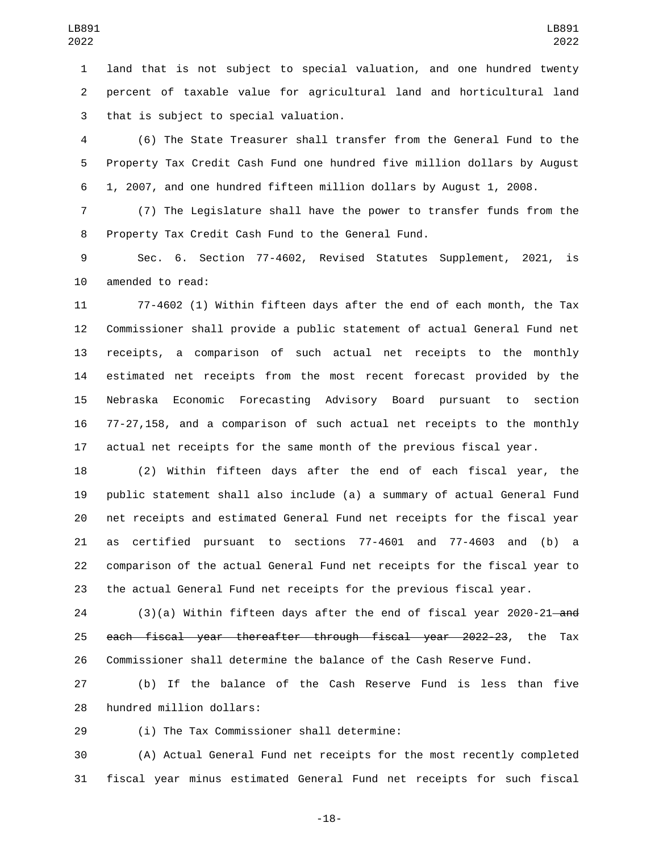land that is not subject to special valuation, and one hundred twenty percent of taxable value for agricultural land and horticultural land 3 that is subject to special valuation.

 (6) The State Treasurer shall transfer from the General Fund to the Property Tax Credit Cash Fund one hundred five million dollars by August 1, 2007, and one hundred fifteen million dollars by August 1, 2008.

 (7) The Legislature shall have the power to transfer funds from the 8 Property Tax Credit Cash Fund to the General Fund.

 Sec. 6. Section 77-4602, Revised Statutes Supplement, 2021, is 10 amended to read:

 77-4602 (1) Within fifteen days after the end of each month, the Tax Commissioner shall provide a public statement of actual General Fund net receipts, a comparison of such actual net receipts to the monthly estimated net receipts from the most recent forecast provided by the Nebraska Economic Forecasting Advisory Board pursuant to section 77-27,158, and a comparison of such actual net receipts to the monthly actual net receipts for the same month of the previous fiscal year.

 (2) Within fifteen days after the end of each fiscal year, the public statement shall also include (a) a summary of actual General Fund net receipts and estimated General Fund net receipts for the fiscal year as certified pursuant to sections 77-4601 and 77-4603 and (b) a comparison of the actual General Fund net receipts for the fiscal year to the actual General Fund net receipts for the previous fiscal year.

24 (3)(a) Within fifteen days after the end of fiscal year 2020-21—and each fiscal year thereafter through fiscal year 2022-23, the Tax Commissioner shall determine the balance of the Cash Reserve Fund.

 (b) If the balance of the Cash Reserve Fund is less than five 28 hundred million dollars:

(i) The Tax Commissioner shall determine:29

 (A) Actual General Fund net receipts for the most recently completed fiscal year minus estimated General Fund net receipts for such fiscal

-18-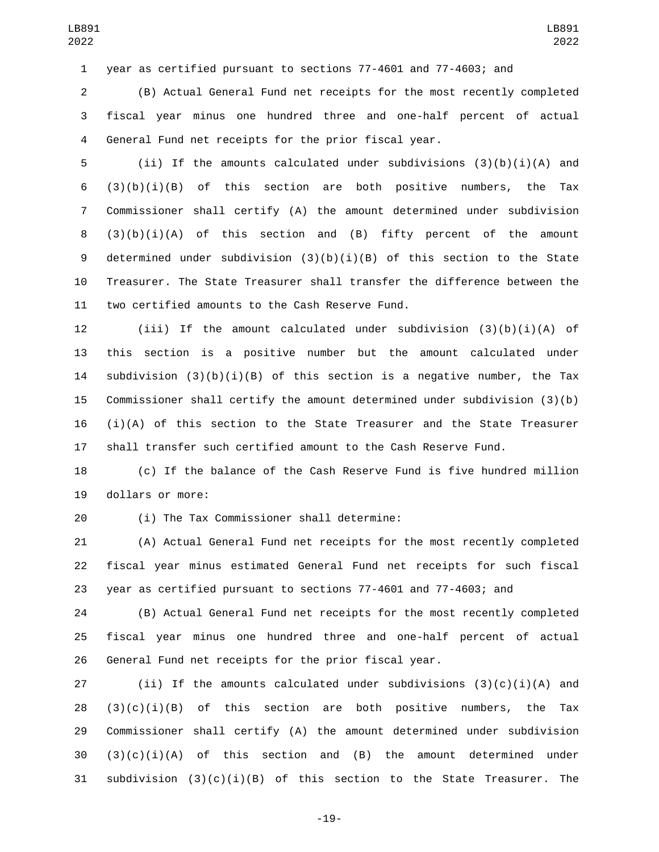year as certified pursuant to sections 77-4601 and 77-4603; and

 (B) Actual General Fund net receipts for the most recently completed fiscal year minus one hundred three and one-half percent of actual General Fund net receipts for the prior fiscal year.

 (ii) If the amounts calculated under subdivisions (3)(b)(i)(A) and  $(3)(b)(i)(B)$  of this section are both positive numbers, the Tax Commissioner shall certify (A) the amount determined under subdivision  $(3)(b)(i)(A)$  of this section and  $(B)$  fifty percent of the amount 9 determined under subdivision  $(3)(b)(i)(B)$  of this section to the State Treasurer. The State Treasurer shall transfer the difference between the 11 two certified amounts to the Cash Reserve Fund.

 (iii) If the amount calculated under subdivision (3)(b)(i)(A) of this section is a positive number but the amount calculated under 14 subdivision  $(3)(b)(i)(B)$  of this section is a negative number, the Tax Commissioner shall certify the amount determined under subdivision (3)(b) (i)(A) of this section to the State Treasurer and the State Treasurer shall transfer such certified amount to the Cash Reserve Fund.

 (c) If the balance of the Cash Reserve Fund is five hundred million 19 dollars or more:

(i) The Tax Commissioner shall determine:20

 (A) Actual General Fund net receipts for the most recently completed fiscal year minus estimated General Fund net receipts for such fiscal year as certified pursuant to sections 77-4601 and 77-4603; and

 (B) Actual General Fund net receipts for the most recently completed fiscal year minus one hundred three and one-half percent of actual General Fund net receipts for the prior fiscal year.

27 (ii) If the amounts calculated under subdivisions  $(3)(c)(i)(A)$  and 28  $(3)(c)(i)(B)$  of this section are both positive numbers, the Tax Commissioner shall certify (A) the amount determined under subdivision  $(3)(c)(i)(A)$  of this section and  $(B)$  the amount determined under 31 subdivision  $(3)(c)(i)(B)$  of this section to the State Treasurer. The

-19-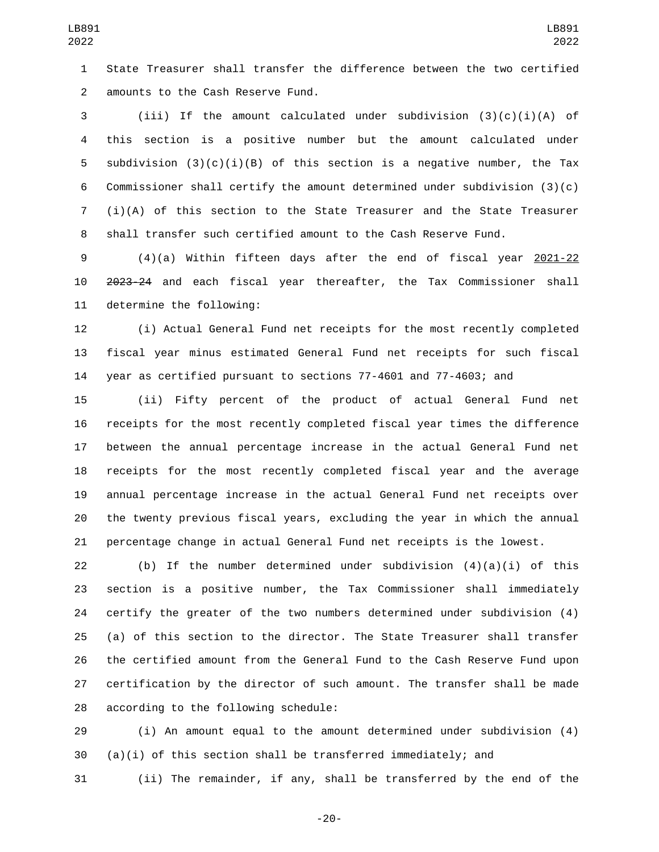State Treasurer shall transfer the difference between the two certified amounts to the Cash Reserve Fund.2

 (iii) If the amount calculated under subdivision (3)(c)(i)(A) of this section is a positive number but the amount calculated under 5 subdivision  $(3)(c)(i)(B)$  of this section is a negative number, the Tax Commissioner shall certify the amount determined under subdivision (3)(c) (i)(A) of this section to the State Treasurer and the State Treasurer shall transfer such certified amount to the Cash Reserve Fund.

 (4)(a) Within fifteen days after the end of fiscal year 2021-22 2023-24 and each fiscal year thereafter, the Tax Commissioner shall 11 determine the following:

 (i) Actual General Fund net receipts for the most recently completed fiscal year minus estimated General Fund net receipts for such fiscal year as certified pursuant to sections 77-4601 and 77-4603; and

 (ii) Fifty percent of the product of actual General Fund net receipts for the most recently completed fiscal year times the difference between the annual percentage increase in the actual General Fund net receipts for the most recently completed fiscal year and the average annual percentage increase in the actual General Fund net receipts over the twenty previous fiscal years, excluding the year in which the annual percentage change in actual General Fund net receipts is the lowest.

22 (b) If the number determined under subdivision  $(4)(a)(i)$  of this section is a positive number, the Tax Commissioner shall immediately certify the greater of the two numbers determined under subdivision (4) (a) of this section to the director. The State Treasurer shall transfer the certified amount from the General Fund to the Cash Reserve Fund upon certification by the director of such amount. The transfer shall be made 28 according to the following schedule:

 (i) An amount equal to the amount determined under subdivision (4) (a)(i) of this section shall be transferred immediately; and

(ii) The remainder, if any, shall be transferred by the end of the

-20-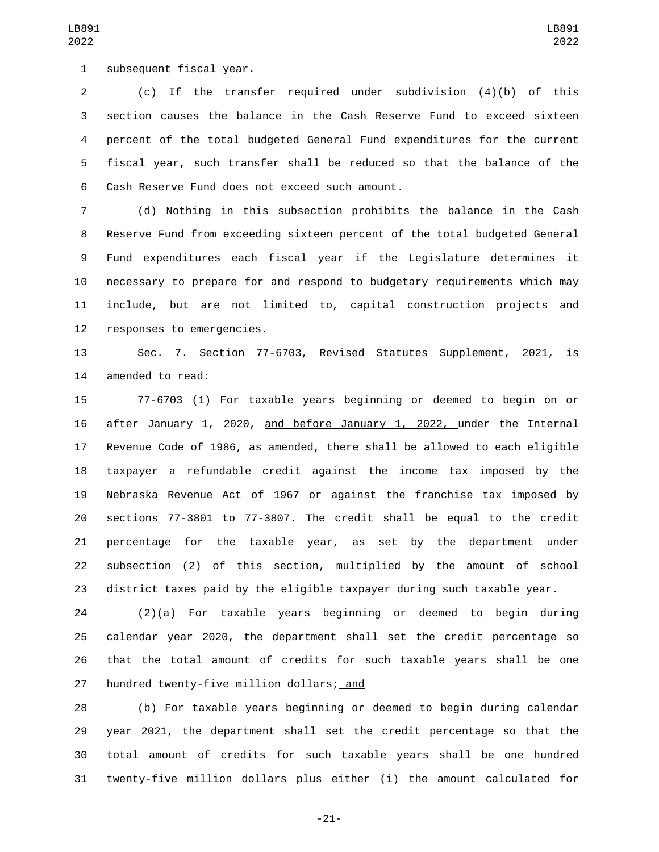1 subsequent fiscal year.

 (c) If the transfer required under subdivision (4)(b) of this section causes the balance in the Cash Reserve Fund to exceed sixteen percent of the total budgeted General Fund expenditures for the current fiscal year, such transfer shall be reduced so that the balance of the 6 Cash Reserve Fund does not exceed such amount.

 (d) Nothing in this subsection prohibits the balance in the Cash Reserve Fund from exceeding sixteen percent of the total budgeted General Fund expenditures each fiscal year if the Legislature determines it necessary to prepare for and respond to budgetary requirements which may include, but are not limited to, capital construction projects and 12 responses to emergencies.

 Sec. 7. Section 77-6703, Revised Statutes Supplement, 2021, is 14 amended to read:

 77-6703 (1) For taxable years beginning or deemed to begin on or 16 after January 1, 2020, and before January 1, 2022, under the Internal Revenue Code of 1986, as amended, there shall be allowed to each eligible taxpayer a refundable credit against the income tax imposed by the Nebraska Revenue Act of 1967 or against the franchise tax imposed by sections 77-3801 to 77-3807. The credit shall be equal to the credit percentage for the taxable year, as set by the department under subsection (2) of this section, multiplied by the amount of school district taxes paid by the eligible taxpayer during such taxable year.

 (2)(a) For taxable years beginning or deemed to begin during calendar year 2020, the department shall set the credit percentage so that the total amount of credits for such taxable years shall be one 27 hundred twenty-five million dollars; and

 (b) For taxable years beginning or deemed to begin during calendar year 2021, the department shall set the credit percentage so that the total amount of credits for such taxable years shall be one hundred twenty-five million dollars plus either (i) the amount calculated for

-21-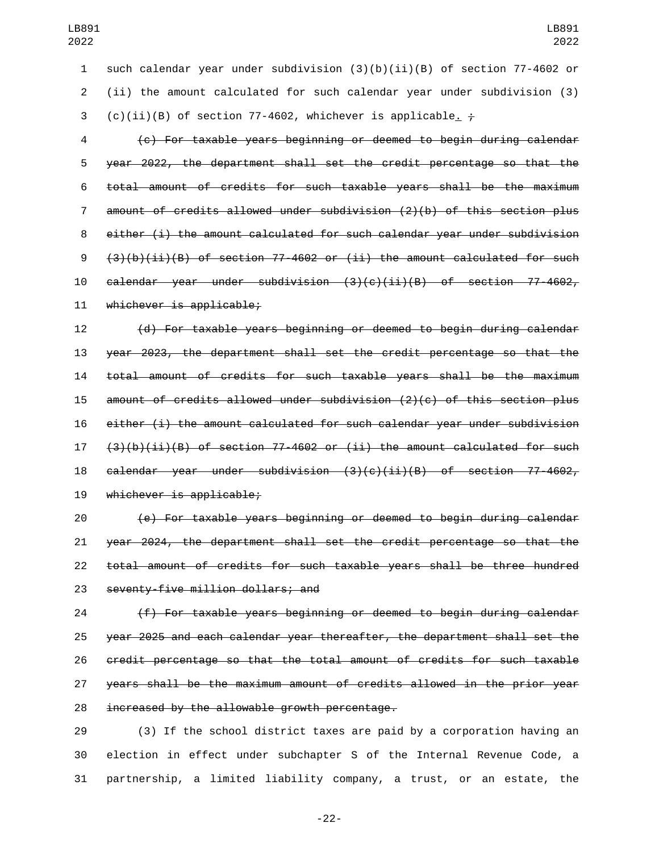such calendar year under subdivision (3)(b)(ii)(B) of section 77-4602 or (ii) the amount calculated for such calendar year under subdivision (3) 3 (c)(ii)(B) of section 77-4602, whichever is applicable.  $\frac{1}{t}$ 

 (c) For taxable years beginning or deemed to begin during calendar year 2022, the department shall set the credit percentage so that the total amount of credits for such taxable years shall be the maximum amount of credits allowed under subdivision (2)(b) of this section plus either (i) the amount calculated for such calendar year under subdivision  $(3)(b)(ii)(B)$  of section 77-4602 or (ii) the amount calculated for such  $cal$ ealendar year under subdivision  $(3)(c)(ii)(B)$  of section 77-4602, 11 whichever is applicable;

 (d) For taxable years beginning or deemed to begin during calendar year 2023, the department shall set the credit percentage so that the total amount of credits for such taxable years shall be the maximum amount of credits allowed under subdivision (2)(c) of this section plus either (i) the amount calculated for such calendar year under subdivision  $(3)(b)(ii)(B)$  of section 77-4602 or (ii) the amount calculated for such calendar year under subdivision (3)(c)(ii)(B) of section 77-4602, 19 whichever is applicable;

 (e) For taxable years beginning or deemed to begin during calendar year 2024, the department shall set the credit percentage so that the total amount of credits for such taxable years shall be three hundred 23 seventy-five million dollars; and

 (f) For taxable years beginning or deemed to begin during calendar year 2025 and each calendar year thereafter, the department shall set the credit percentage so that the total amount of credits for such taxable years shall be the maximum amount of credits allowed in the prior year increased by the allowable growth percentage.

 (3) If the school district taxes are paid by a corporation having an election in effect under subchapter S of the Internal Revenue Code, a partnership, a limited liability company, a trust, or an estate, the

-22-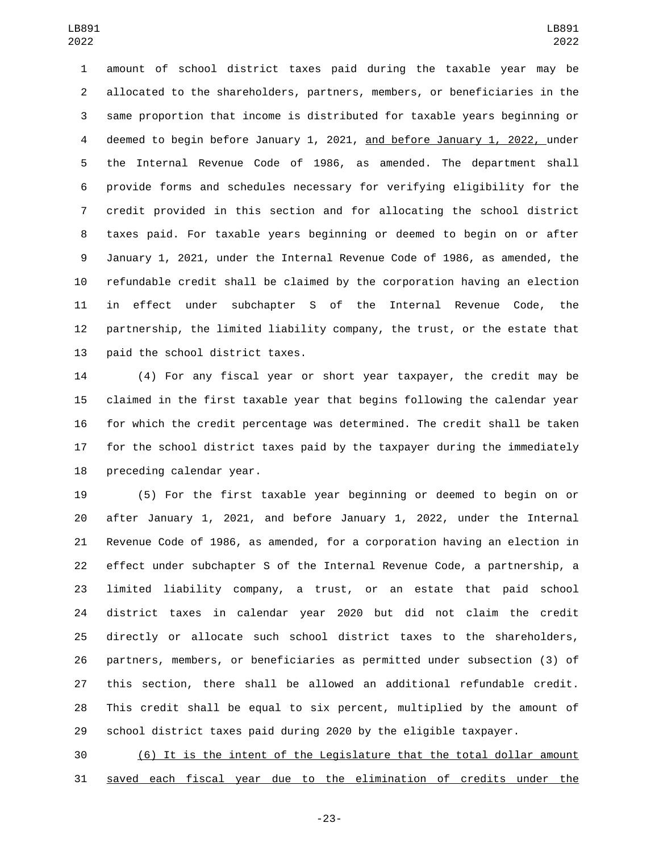amount of school district taxes paid during the taxable year may be allocated to the shareholders, partners, members, or beneficiaries in the same proportion that income is distributed for taxable years beginning or deemed to begin before January 1, 2021, and before January 1, 2022, under the Internal Revenue Code of 1986, as amended. The department shall provide forms and schedules necessary for verifying eligibility for the credit provided in this section and for allocating the school district taxes paid. For taxable years beginning or deemed to begin on or after January 1, 2021, under the Internal Revenue Code of 1986, as amended, the refundable credit shall be claimed by the corporation having an election in effect under subchapter S of the Internal Revenue Code, the partnership, the limited liability company, the trust, or the estate that 13 paid the school district taxes.

 (4) For any fiscal year or short year taxpayer, the credit may be claimed in the first taxable year that begins following the calendar year for which the credit percentage was determined. The credit shall be taken for the school district taxes paid by the taxpayer during the immediately 18 preceding calendar year.

 (5) For the first taxable year beginning or deemed to begin on or after January 1, 2021, and before January 1, 2022, under the Internal Revenue Code of 1986, as amended, for a corporation having an election in effect under subchapter S of the Internal Revenue Code, a partnership, a limited liability company, a trust, or an estate that paid school district taxes in calendar year 2020 but did not claim the credit directly or allocate such school district taxes to the shareholders, partners, members, or beneficiaries as permitted under subsection (3) of this section, there shall be allowed an additional refundable credit. This credit shall be equal to six percent, multiplied by the amount of school district taxes paid during 2020 by the eligible taxpayer.

 (6) It is the intent of the Legislature that the total dollar amount saved each fiscal year due to the elimination of credits under the

-23-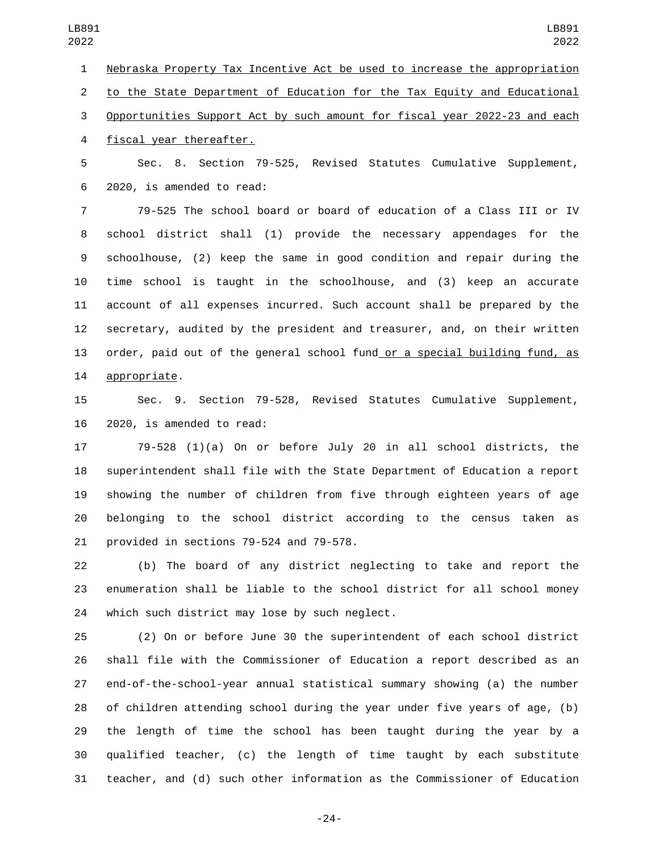LB891 

 Nebraska Property Tax Incentive Act be used to increase the appropriation to the State Department of Education for the Tax Equity and Educational Opportunities Support Act by such amount for fiscal year 2022-23 and each 4 fiscal year thereafter.

 Sec. 8. Section 79-525, Revised Statutes Cumulative Supplement, 2020, is amended to read:6

 79-525 The school board or board of education of a Class III or IV school district shall (1) provide the necessary appendages for the schoolhouse, (2) keep the same in good condition and repair during the time school is taught in the schoolhouse, and (3) keep an accurate account of all expenses incurred. Such account shall be prepared by the secretary, audited by the president and treasurer, and, on their written order, paid out of the general school fund or a special building fund, as 14 appropriate.

 Sec. 9. Section 79-528, Revised Statutes Cumulative Supplement, 16 2020, is amended to read:

 79-528 (1)(a) On or before July 20 in all school districts, the superintendent shall file with the State Department of Education a report showing the number of children from five through eighteen years of age belonging to the school district according to the census taken as 21 provided in sections 79-524 and 79-578.

 (b) The board of any district neglecting to take and report the enumeration shall be liable to the school district for all school money 24 which such district may lose by such neglect.

 (2) On or before June 30 the superintendent of each school district shall file with the Commissioner of Education a report described as an end-of-the-school-year annual statistical summary showing (a) the number of children attending school during the year under five years of age, (b) the length of time the school has been taught during the year by a qualified teacher, (c) the length of time taught by each substitute teacher, and (d) such other information as the Commissioner of Education

-24-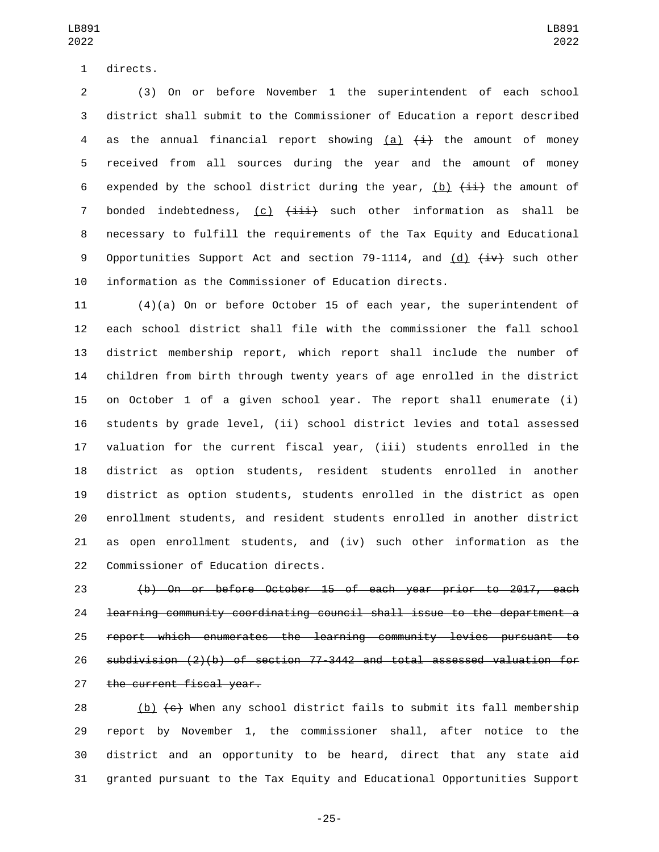1 directs.

 (3) On or before November 1 the superintendent of each school district shall submit to the Commissioner of Education a report described 4 as the annual financial report showing  $(a)$   $(\pm)$  the amount of money received from all sources during the year and the amount of money 6 expended by the school district during the year, (b)  $\{\pm i\}$  the amount of 7 bonded indebtedness,  $(c)$   $(iii)$  such other information as shall be necessary to fulfill the requirements of the Tax Equity and Educational 9 Opportunities Support Act and section 79-1114, and (d)  $\overline{+iv}$  such other information as the Commissioner of Education directs.

 (4)(a) On or before October 15 of each year, the superintendent of each school district shall file with the commissioner the fall school district membership report, which report shall include the number of children from birth through twenty years of age enrolled in the district on October 1 of a given school year. The report shall enumerate (i) students by grade level, (ii) school district levies and total assessed valuation for the current fiscal year, (iii) students enrolled in the district as option students, resident students enrolled in another district as option students, students enrolled in the district as open enrollment students, and resident students enrolled in another district as open enrollment students, and (iv) such other information as the 22 Commissioner of Education directs.

 (b) On or before October 15 of each year prior to 2017, each learning community coordinating council shall issue to the department a report which enumerates the learning community levies pursuant to subdivision (2)(b) of section 77-3442 and total assessed valuation for 27 the current fiscal year.

28 (b)  $\left\lbrace \epsilon \right\rbrace$  When any school district fails to submit its fall membership report by November 1, the commissioner shall, after notice to the district and an opportunity to be heard, direct that any state aid granted pursuant to the Tax Equity and Educational Opportunities Support

-25-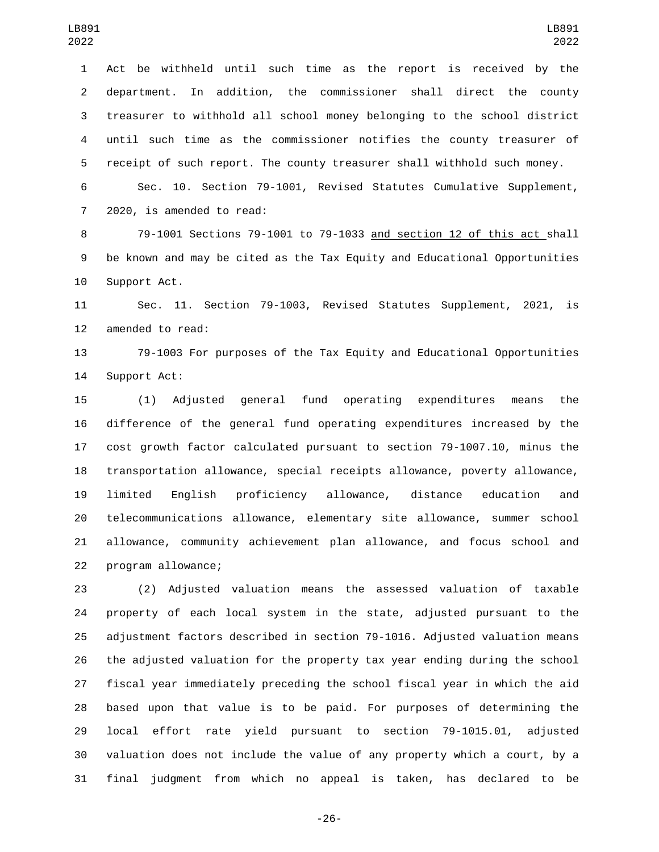Act be withheld until such time as the report is received by the department. In addition, the commissioner shall direct the county treasurer to withhold all school money belonging to the school district until such time as the commissioner notifies the county treasurer of receipt of such report. The county treasurer shall withhold such money.

 Sec. 10. Section 79-1001, Revised Statutes Cumulative Supplement, 7 2020, is amended to read:

 79-1001 Sections 79-1001 to 79-1033 and section 12 of this act shall be known and may be cited as the Tax Equity and Educational Opportunities 10 Support Act.

 Sec. 11. Section 79-1003, Revised Statutes Supplement, 2021, is 12 amended to read:

 79-1003 For purposes of the Tax Equity and Educational Opportunities 14 Support Act:

 (1) Adjusted general fund operating expenditures means the difference of the general fund operating expenditures increased by the cost growth factor calculated pursuant to section 79-1007.10, minus the transportation allowance, special receipts allowance, poverty allowance, limited English proficiency allowance, distance education and telecommunications allowance, elementary site allowance, summer school allowance, community achievement plan allowance, and focus school and 22 program allowance;

 (2) Adjusted valuation means the assessed valuation of taxable property of each local system in the state, adjusted pursuant to the adjustment factors described in section 79-1016. Adjusted valuation means the adjusted valuation for the property tax year ending during the school fiscal year immediately preceding the school fiscal year in which the aid based upon that value is to be paid. For purposes of determining the local effort rate yield pursuant to section 79-1015.01, adjusted valuation does not include the value of any property which a court, by a final judgment from which no appeal is taken, has declared to be

-26-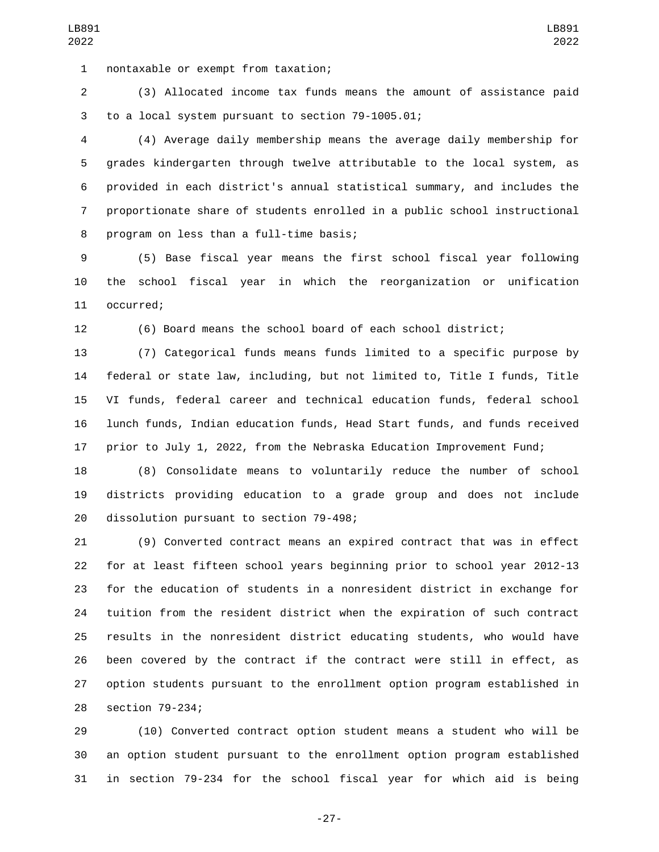nontaxable or exempt from taxation;1

 (3) Allocated income tax funds means the amount of assistance paid 3 to a local system pursuant to section 79-1005.01;

 (4) Average daily membership means the average daily membership for grades kindergarten through twelve attributable to the local system, as provided in each district's annual statistical summary, and includes the proportionate share of students enrolled in a public school instructional 8 program on less than a full-time basis;

 (5) Base fiscal year means the first school fiscal year following the school fiscal year in which the reorganization or unification 11 occurred;

(6) Board means the school board of each school district;

 (7) Categorical funds means funds limited to a specific purpose by federal or state law, including, but not limited to, Title I funds, Title VI funds, federal career and technical education funds, federal school lunch funds, Indian education funds, Head Start funds, and funds received prior to July 1, 2022, from the Nebraska Education Improvement Fund;

 (8) Consolidate means to voluntarily reduce the number of school districts providing education to a grade group and does not include 20 dissolution pursuant to section 79-498;

 (9) Converted contract means an expired contract that was in effect for at least fifteen school years beginning prior to school year 2012-13 for the education of students in a nonresident district in exchange for tuition from the resident district when the expiration of such contract results in the nonresident district educating students, who would have been covered by the contract if the contract were still in effect, as option students pursuant to the enrollment option program established in 28 section 79-234;

 (10) Converted contract option student means a student who will be an option student pursuant to the enrollment option program established in section 79-234 for the school fiscal year for which aid is being

-27-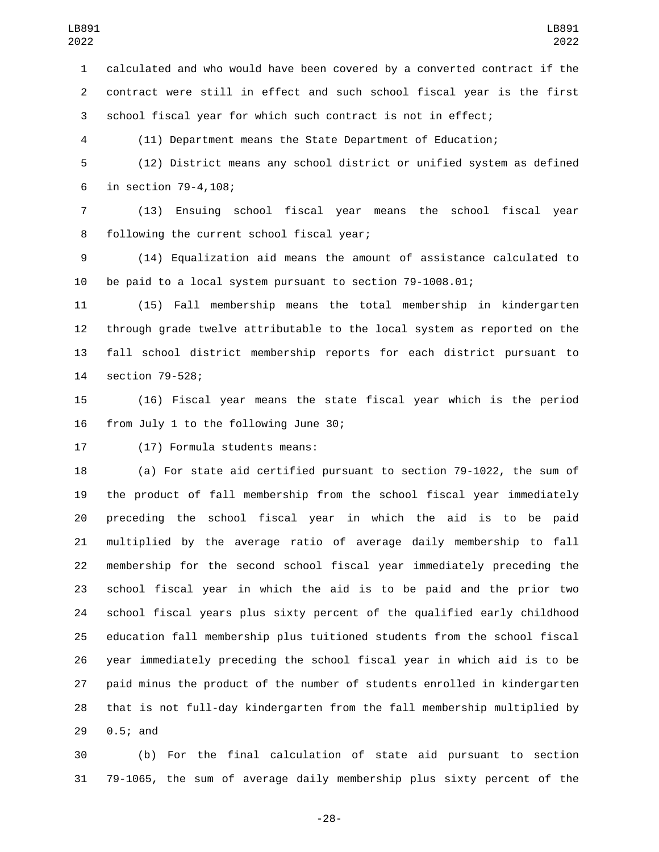calculated and who would have been covered by a converted contract if the contract were still in effect and such school fiscal year is the first school fiscal year for which such contract is not in effect;

(11) Department means the State Department of Education;

 (12) District means any school district or unified system as defined 6 in section 79-4,108;

 (13) Ensuing school fiscal year means the school fiscal year 8 following the current school fiscal year;

 (14) Equalization aid means the amount of assistance calculated to be paid to a local system pursuant to section 79-1008.01;

 (15) Fall membership means the total membership in kindergarten through grade twelve attributable to the local system as reported on the fall school district membership reports for each district pursuant to 14 section 79-528;

 (16) Fiscal year means the state fiscal year which is the period 16 from July 1 to the following June 30;

17 (17) Formula students means:

 (a) For state aid certified pursuant to section 79-1022, the sum of the product of fall membership from the school fiscal year immediately preceding the school fiscal year in which the aid is to be paid multiplied by the average ratio of average daily membership to fall membership for the second school fiscal year immediately preceding the school fiscal year in which the aid is to be paid and the prior two school fiscal years plus sixty percent of the qualified early childhood education fall membership plus tuitioned students from the school fiscal year immediately preceding the school fiscal year in which aid is to be paid minus the product of the number of students enrolled in kindergarten that is not full-day kindergarten from the fall membership multiplied by 29 0.5; and

 (b) For the final calculation of state aid pursuant to section 79-1065, the sum of average daily membership plus sixty percent of the

-28-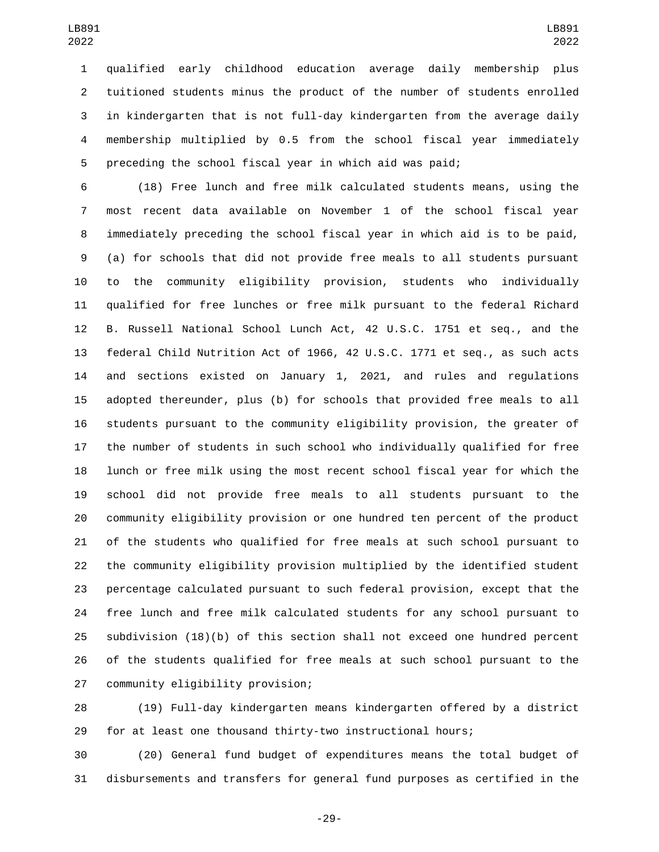qualified early childhood education average daily membership plus tuitioned students minus the product of the number of students enrolled in kindergarten that is not full-day kindergarten from the average daily membership multiplied by 0.5 from the school fiscal year immediately preceding the school fiscal year in which aid was paid;

 (18) Free lunch and free milk calculated students means, using the most recent data available on November 1 of the school fiscal year immediately preceding the school fiscal year in which aid is to be paid, (a) for schools that did not provide free meals to all students pursuant to the community eligibility provision, students who individually qualified for free lunches or free milk pursuant to the federal Richard B. Russell National School Lunch Act, 42 U.S.C. 1751 et seq., and the federal Child Nutrition Act of 1966, 42 U.S.C. 1771 et seq., as such acts and sections existed on January 1, 2021, and rules and regulations adopted thereunder, plus (b) for schools that provided free meals to all students pursuant to the community eligibility provision, the greater of the number of students in such school who individually qualified for free lunch or free milk using the most recent school fiscal year for which the school did not provide free meals to all students pursuant to the community eligibility provision or one hundred ten percent of the product of the students who qualified for free meals at such school pursuant to the community eligibility provision multiplied by the identified student percentage calculated pursuant to such federal provision, except that the free lunch and free milk calculated students for any school pursuant to subdivision (18)(b) of this section shall not exceed one hundred percent of the students qualified for free meals at such school pursuant to the 27 community eligibility provision;

 (19) Full-day kindergarten means kindergarten offered by a district for at least one thousand thirty-two instructional hours;

 (20) General fund budget of expenditures means the total budget of disbursements and transfers for general fund purposes as certified in the

-29-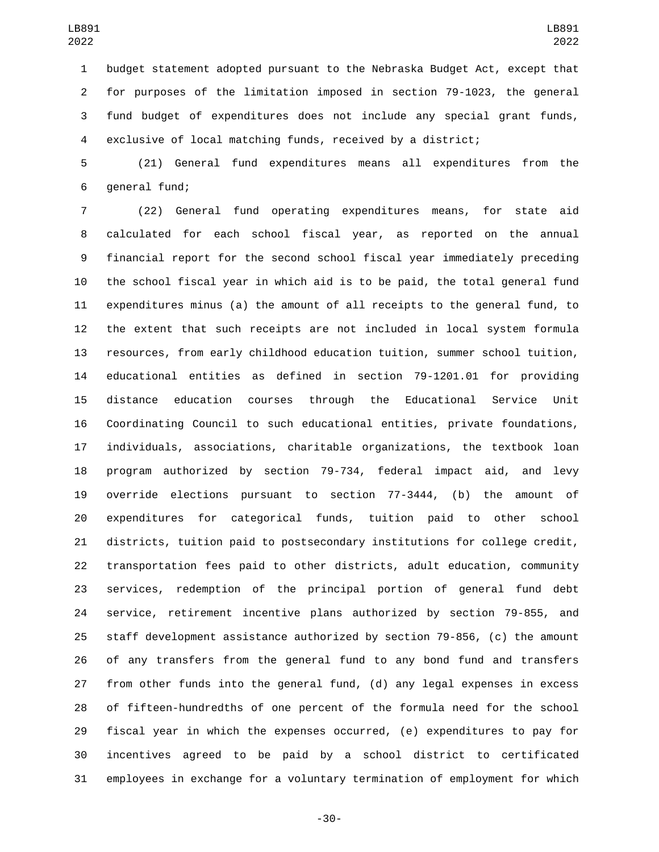budget statement adopted pursuant to the Nebraska Budget Act, except that for purposes of the limitation imposed in section 79-1023, the general fund budget of expenditures does not include any special grant funds, exclusive of local matching funds, received by a district;

 (21) General fund expenditures means all expenditures from the 6 general fund;

 (22) General fund operating expenditures means, for state aid calculated for each school fiscal year, as reported on the annual financial report for the second school fiscal year immediately preceding the school fiscal year in which aid is to be paid, the total general fund expenditures minus (a) the amount of all receipts to the general fund, to the extent that such receipts are not included in local system formula resources, from early childhood education tuition, summer school tuition, educational entities as defined in section 79-1201.01 for providing distance education courses through the Educational Service Unit Coordinating Council to such educational entities, private foundations, individuals, associations, charitable organizations, the textbook loan program authorized by section 79-734, federal impact aid, and levy override elections pursuant to section 77-3444, (b) the amount of expenditures for categorical funds, tuition paid to other school districts, tuition paid to postsecondary institutions for college credit, transportation fees paid to other districts, adult education, community services, redemption of the principal portion of general fund debt service, retirement incentive plans authorized by section 79-855, and staff development assistance authorized by section 79-856, (c) the amount of any transfers from the general fund to any bond fund and transfers from other funds into the general fund, (d) any legal expenses in excess of fifteen-hundredths of one percent of the formula need for the school fiscal year in which the expenses occurred, (e) expenditures to pay for incentives agreed to be paid by a school district to certificated employees in exchange for a voluntary termination of employment for which

-30-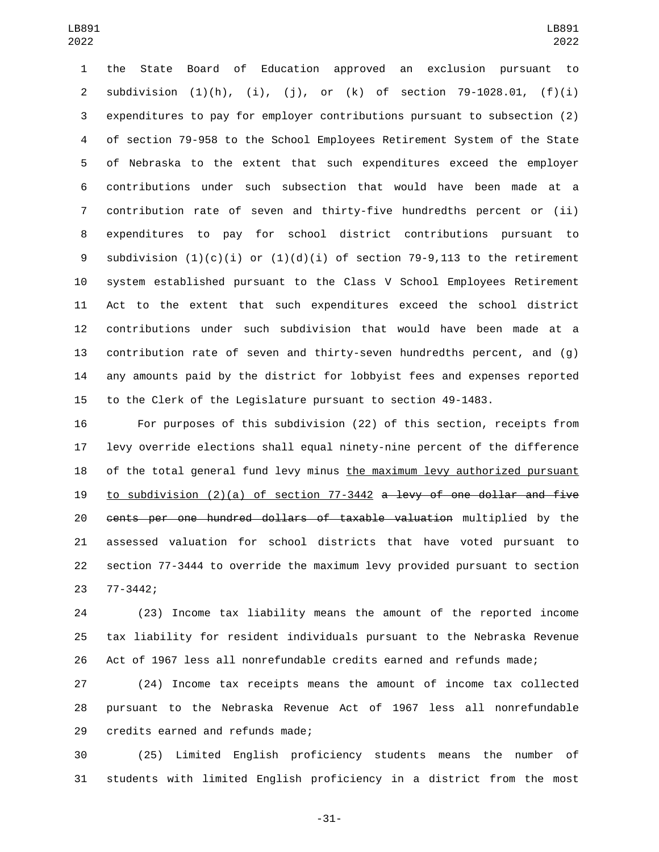the State Board of Education approved an exclusion pursuant to 2 subdivision  $(1)(h)$ ,  $(i)$ ,  $(j)$ , or  $(k)$  of section 79-1028.01,  $(f)(i)$  expenditures to pay for employer contributions pursuant to subsection (2) of section 79-958 to the School Employees Retirement System of the State of Nebraska to the extent that such expenditures exceed the employer contributions under such subsection that would have been made at a contribution rate of seven and thirty-five hundredths percent or (ii) expenditures to pay for school district contributions pursuant to 9 subdivision  $(1)(c)(i)$  or  $(1)(d)(i)$  of section 79-9,113 to the retirement system established pursuant to the Class V School Employees Retirement Act to the extent that such expenditures exceed the school district contributions under such subdivision that would have been made at a contribution rate of seven and thirty-seven hundredths percent, and (g) any amounts paid by the district for lobbyist fees and expenses reported to the Clerk of the Legislature pursuant to section 49-1483.

 For purposes of this subdivision (22) of this section, receipts from levy override elections shall equal ninety-nine percent of the difference of the total general fund levy minus the maximum levy authorized pursuant 19 to subdivision  $(2)(a)$  of section 77-3442 a levy of one dollar and five cents per one hundred dollars of taxable valuation multiplied by the assessed valuation for school districts that have voted pursuant to section 77-3444 to override the maximum levy provided pursuant to section 77-3442;23

 (23) Income tax liability means the amount of the reported income tax liability for resident individuals pursuant to the Nebraska Revenue Act of 1967 less all nonrefundable credits earned and refunds made;

 (24) Income tax receipts means the amount of income tax collected pursuant to the Nebraska Revenue Act of 1967 less all nonrefundable 29 credits earned and refunds made;

 (25) Limited English proficiency students means the number of students with limited English proficiency in a district from the most

-31-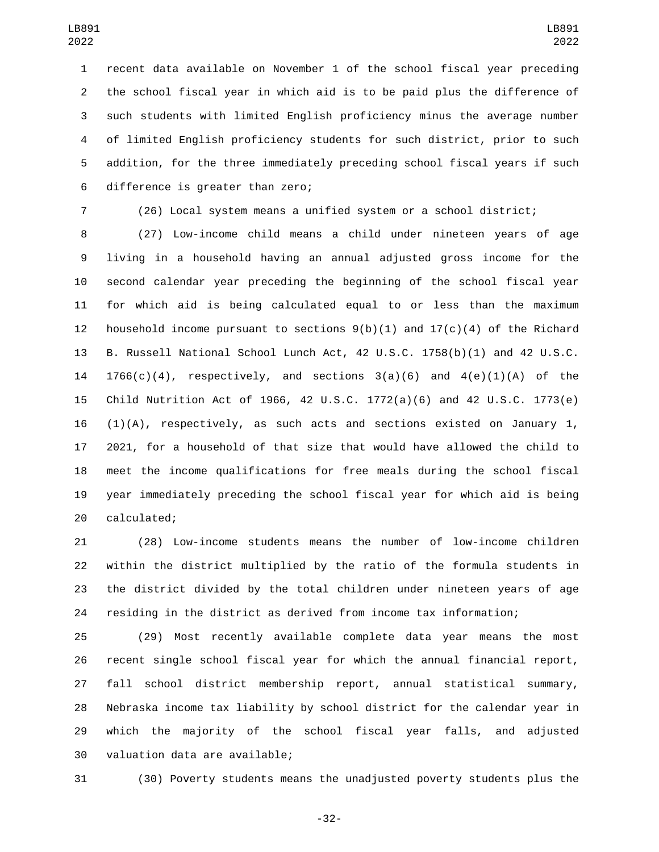recent data available on November 1 of the school fiscal year preceding the school fiscal year in which aid is to be paid plus the difference of such students with limited English proficiency minus the average number of limited English proficiency students for such district, prior to such addition, for the three immediately preceding school fiscal years if such 6 difference is greater than zero;

(26) Local system means a unified system or a school district;

 (27) Low-income child means a child under nineteen years of age living in a household having an annual adjusted gross income for the second calendar year preceding the beginning of the school fiscal year for which aid is being calculated equal to or less than the maximum 12 household income pursuant to sections  $9(b)(1)$  and  $17(c)(4)$  of the Richard B. Russell National School Lunch Act, 42 U.S.C. 1758(b)(1) and 42 U.S.C. 14 1766(c)(4), respectively, and sections  $3(a)(6)$  and  $4(e)(1)(A)$  of the Child Nutrition Act of 1966, 42 U.S.C. 1772(a)(6) and 42 U.S.C. 1773(e)  $(1)(A)$ , respectively, as such acts and sections existed on January 1, 2021, for a household of that size that would have allowed the child to meet the income qualifications for free meals during the school fiscal year immediately preceding the school fiscal year for which aid is being 20 calculated;

 (28) Low-income students means the number of low-income children within the district multiplied by the ratio of the formula students in the district divided by the total children under nineteen years of age residing in the district as derived from income tax information;

 (29) Most recently available complete data year means the most recent single school fiscal year for which the annual financial report, fall school district membership report, annual statistical summary, Nebraska income tax liability by school district for the calendar year in which the majority of the school fiscal year falls, and adjusted 30 valuation data are available;

(30) Poverty students means the unadjusted poverty students plus the

-32-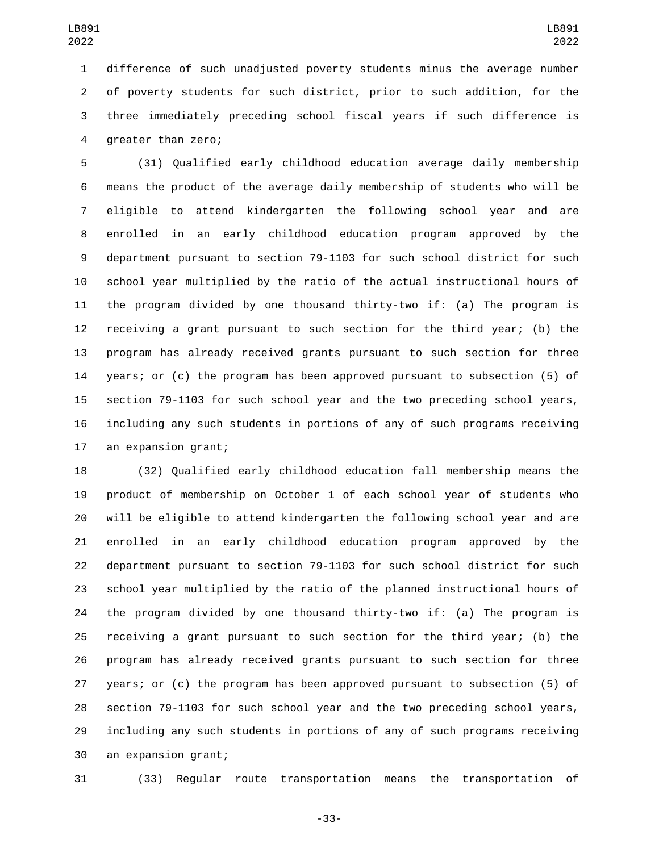difference of such unadjusted poverty students minus the average number of poverty students for such district, prior to such addition, for the three immediately preceding school fiscal years if such difference is 4 greater than zero;

 (31) Qualified early childhood education average daily membership means the product of the average daily membership of students who will be eligible to attend kindergarten the following school year and are enrolled in an early childhood education program approved by the department pursuant to section 79-1103 for such school district for such school year multiplied by the ratio of the actual instructional hours of the program divided by one thousand thirty-two if: (a) The program is receiving a grant pursuant to such section for the third year; (b) the program has already received grants pursuant to such section for three years; or (c) the program has been approved pursuant to subsection (5) of section 79-1103 for such school year and the two preceding school years, including any such students in portions of any of such programs receiving 17 an expansion grant;

 (32) Qualified early childhood education fall membership means the product of membership on October 1 of each school year of students who will be eligible to attend kindergarten the following school year and are enrolled in an early childhood education program approved by the department pursuant to section 79-1103 for such school district for such school year multiplied by the ratio of the planned instructional hours of the program divided by one thousand thirty-two if: (a) The program is receiving a grant pursuant to such section for the third year; (b) the program has already received grants pursuant to such section for three years; or (c) the program has been approved pursuant to subsection (5) of section 79-1103 for such school year and the two preceding school years, including any such students in portions of any of such programs receiving 30 an expansion grant;

(33) Regular route transportation means the transportation of

-33-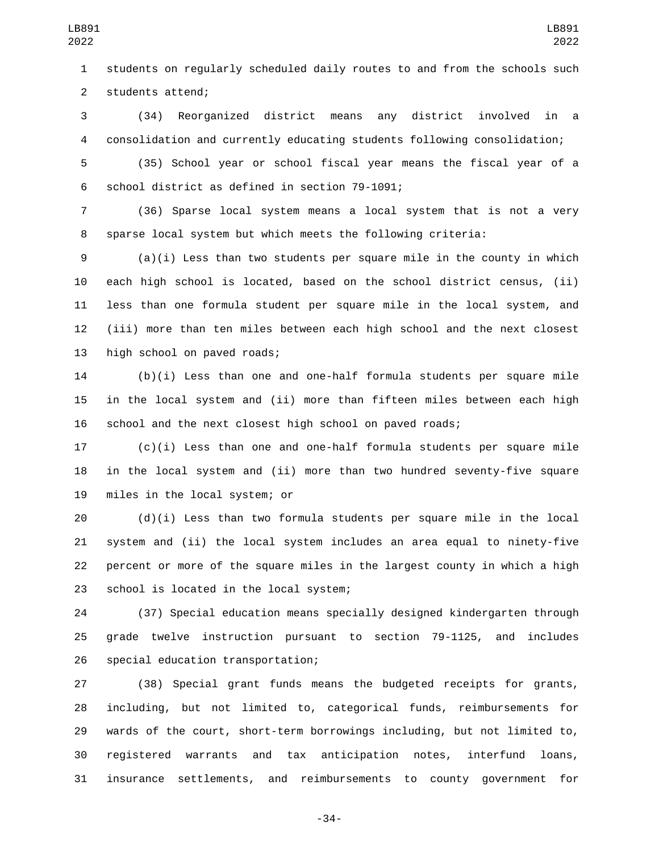students on regularly scheduled daily routes to and from the schools such 2 students attend;

 (34) Reorganized district means any district involved in a consolidation and currently educating students following consolidation;

 (35) School year or school fiscal year means the fiscal year of a 6 school district as defined in section 79-1091;

 (36) Sparse local system means a local system that is not a very sparse local system but which meets the following criteria:

 (a)(i) Less than two students per square mile in the county in which each high school is located, based on the school district census, (ii) less than one formula student per square mile in the local system, and (iii) more than ten miles between each high school and the next closest 13 high school on paved roads;

 (b)(i) Less than one and one-half formula students per square mile in the local system and (ii) more than fifteen miles between each high school and the next closest high school on paved roads;

 (c)(i) Less than one and one-half formula students per square mile in the local system and (ii) more than two hundred seventy-five square 19 miles in the local system; or

 (d)(i) Less than two formula students per square mile in the local system and (ii) the local system includes an area equal to ninety-five percent or more of the square miles in the largest county in which a high 23 school is located in the local system;

 (37) Special education means specially designed kindergarten through grade twelve instruction pursuant to section 79-1125, and includes 26 special education transportation;

 (38) Special grant funds means the budgeted receipts for grants, including, but not limited to, categorical funds, reimbursements for wards of the court, short-term borrowings including, but not limited to, registered warrants and tax anticipation notes, interfund loans, insurance settlements, and reimbursements to county government for

-34-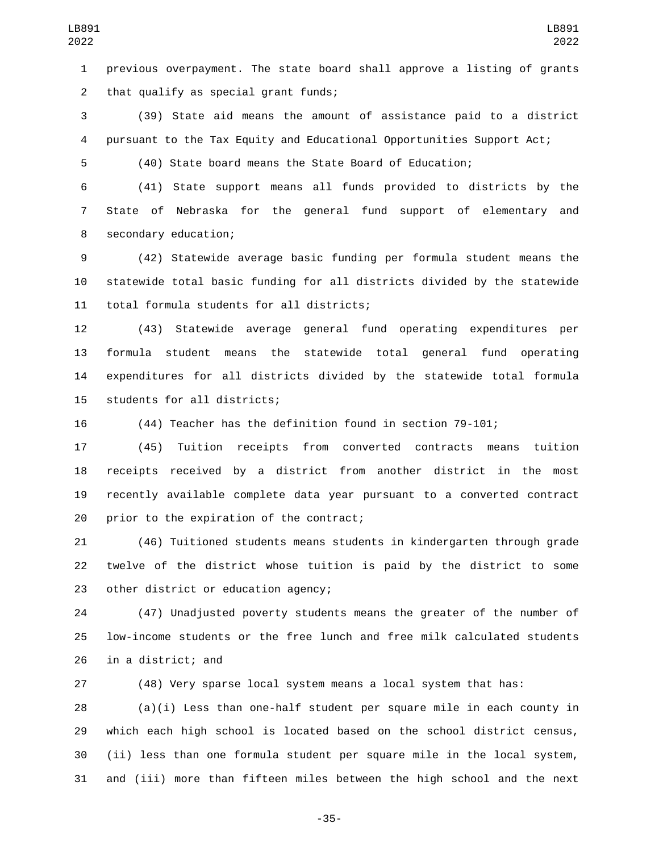previous overpayment. The state board shall approve a listing of grants 2 that qualify as special grant funds;

 (39) State aid means the amount of assistance paid to a district pursuant to the Tax Equity and Educational Opportunities Support Act;

(40) State board means the State Board of Education;

 (41) State support means all funds provided to districts by the State of Nebraska for the general fund support of elementary and 8 secondary education;

 (42) Statewide average basic funding per formula student means the statewide total basic funding for all districts divided by the statewide 11 total formula students for all districts;

 (43) Statewide average general fund operating expenditures per formula student means the statewide total general fund operating expenditures for all districts divided by the statewide total formula 15 students for all districts;

(44) Teacher has the definition found in section 79-101;

 (45) Tuition receipts from converted contracts means tuition receipts received by a district from another district in the most recently available complete data year pursuant to a converted contract 20 prior to the expiration of the contract;

 (46) Tuitioned students means students in kindergarten through grade twelve of the district whose tuition is paid by the district to some 23 other district or education agency;

 (47) Unadjusted poverty students means the greater of the number of low-income students or the free lunch and free milk calculated students in a district; and

(48) Very sparse local system means a local system that has:

 (a)(i) Less than one-half student per square mile in each county in which each high school is located based on the school district census, (ii) less than one formula student per square mile in the local system, and (iii) more than fifteen miles between the high school and the next

-35-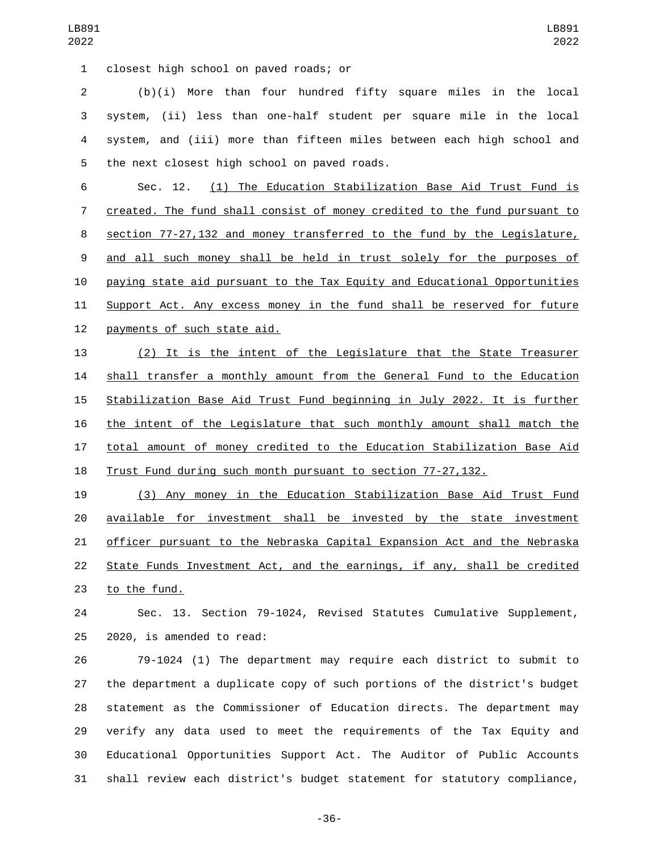closest high school on paved roads; or1

 (b)(i) More than four hundred fifty square miles in the local system, (ii) less than one-half student per square mile in the local system, and (iii) more than fifteen miles between each high school and 5 the next closest high school on paved roads.

 Sec. 12. (1) The Education Stabilization Base Aid Trust Fund is created. The fund shall consist of money credited to the fund pursuant to section 77-27,132 and money transferred to the fund by the Legislature, and all such money shall be held in trust solely for the purposes of paying state aid pursuant to the Tax Equity and Educational Opportunities 11 Support Act. Any excess money in the fund shall be reserved for future 12 payments of such state aid.

 (2) It is the intent of the Legislature that the State Treasurer shall transfer a monthly amount from the General Fund to the Education Stabilization Base Aid Trust Fund beginning in July 2022. It is further the intent of the Legislature that such monthly amount shall match the total amount of money credited to the Education Stabilization Base Aid Trust Fund during such month pursuant to section 77-27,132.

 (3) Any money in the Education Stabilization Base Aid Trust Fund available for investment shall be invested by the state investment officer pursuant to the Nebraska Capital Expansion Act and the Nebraska State Funds Investment Act, and the earnings, if any, shall be credited 23 to the fund.

 Sec. 13. Section 79-1024, Revised Statutes Cumulative Supplement, 25 2020, is amended to read:

 79-1024 (1) The department may require each district to submit to the department a duplicate copy of such portions of the district's budget statement as the Commissioner of Education directs. The department may verify any data used to meet the requirements of the Tax Equity and Educational Opportunities Support Act. The Auditor of Public Accounts shall review each district's budget statement for statutory compliance,

-36-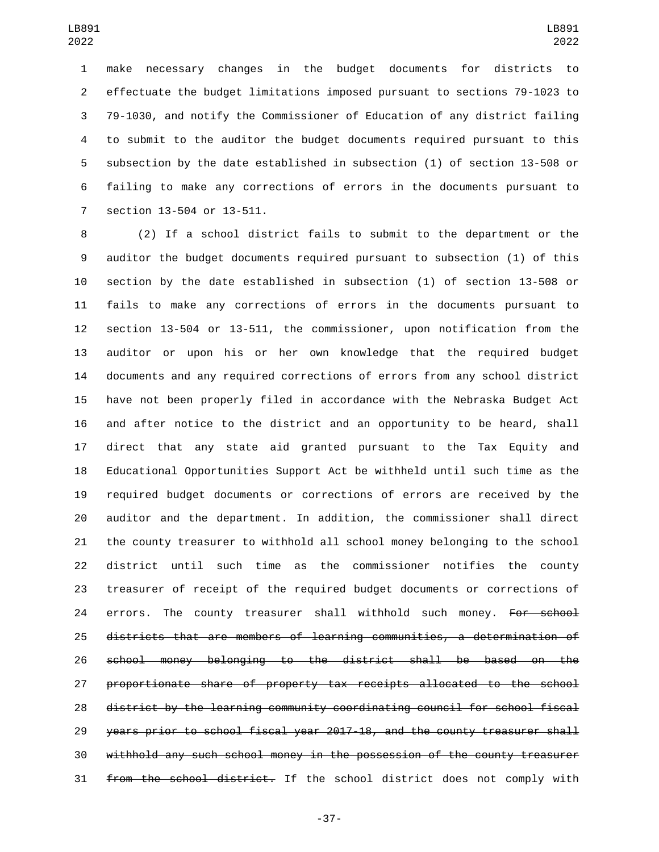make necessary changes in the budget documents for districts to effectuate the budget limitations imposed pursuant to sections 79-1023 to 79-1030, and notify the Commissioner of Education of any district failing to submit to the auditor the budget documents required pursuant to this subsection by the date established in subsection (1) of section 13-508 or failing to make any corrections of errors in the documents pursuant to 7 section 13-504 or 13-511.

 (2) If a school district fails to submit to the department or the auditor the budget documents required pursuant to subsection (1) of this section by the date established in subsection (1) of section 13-508 or fails to make any corrections of errors in the documents pursuant to section 13-504 or 13-511, the commissioner, upon notification from the auditor or upon his or her own knowledge that the required budget documents and any required corrections of errors from any school district have not been properly filed in accordance with the Nebraska Budget Act and after notice to the district and an opportunity to be heard, shall direct that any state aid granted pursuant to the Tax Equity and Educational Opportunities Support Act be withheld until such time as the required budget documents or corrections of errors are received by the auditor and the department. In addition, the commissioner shall direct the county treasurer to withhold all school money belonging to the school district until such time as the commissioner notifies the county treasurer of receipt of the required budget documents or corrections of 24 errors. The county treasurer shall withhold such money. For school districts that are members of learning communities, a determination of school money belonging to the district shall be based on the proportionate share of property tax receipts allocated to the school district by the learning community coordinating council for school fiscal years prior to school fiscal year 2017-18, and the county treasurer shall withhold any such school money in the possession of the county treasurer 31 from the school district. If the school district does not comply with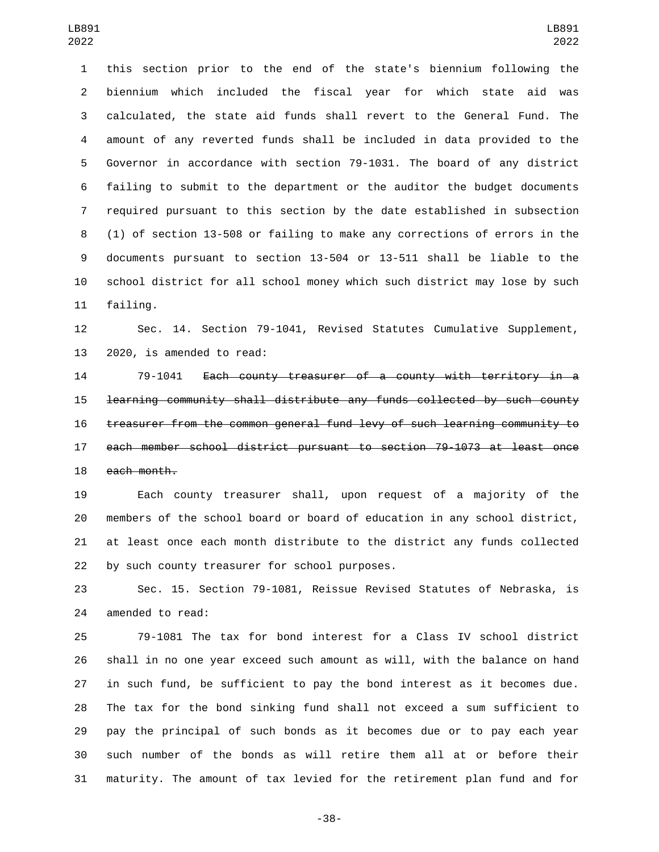this section prior to the end of the state's biennium following the biennium which included the fiscal year for which state aid was calculated, the state aid funds shall revert to the General Fund. The amount of any reverted funds shall be included in data provided to the Governor in accordance with section 79-1031. The board of any district failing to submit to the department or the auditor the budget documents required pursuant to this section by the date established in subsection (1) of section 13-508 or failing to make any corrections of errors in the documents pursuant to section 13-504 or 13-511 shall be liable to the school district for all school money which such district may lose by such 11 failing.

 Sec. 14. Section 79-1041, Revised Statutes Cumulative Supplement, 13 2020, is amended to read:

 79-1041 Each county treasurer of a county with territory in a learning community shall distribute any funds collected by such county treasurer from the common general fund levy of such learning community to each member school district pursuant to section 79-1073 at least once 18 each month.

 Each county treasurer shall, upon request of a majority of the members of the school board or board of education in any school district, at least once each month distribute to the district any funds collected 22 by such county treasurer for school purposes.

 Sec. 15. Section 79-1081, Reissue Revised Statutes of Nebraska, is 24 amended to read:

 79-1081 The tax for bond interest for a Class IV school district shall in no one year exceed such amount as will, with the balance on hand in such fund, be sufficient to pay the bond interest as it becomes due. The tax for the bond sinking fund shall not exceed a sum sufficient to pay the principal of such bonds as it becomes due or to pay each year such number of the bonds as will retire them all at or before their maturity. The amount of tax levied for the retirement plan fund and for

-38-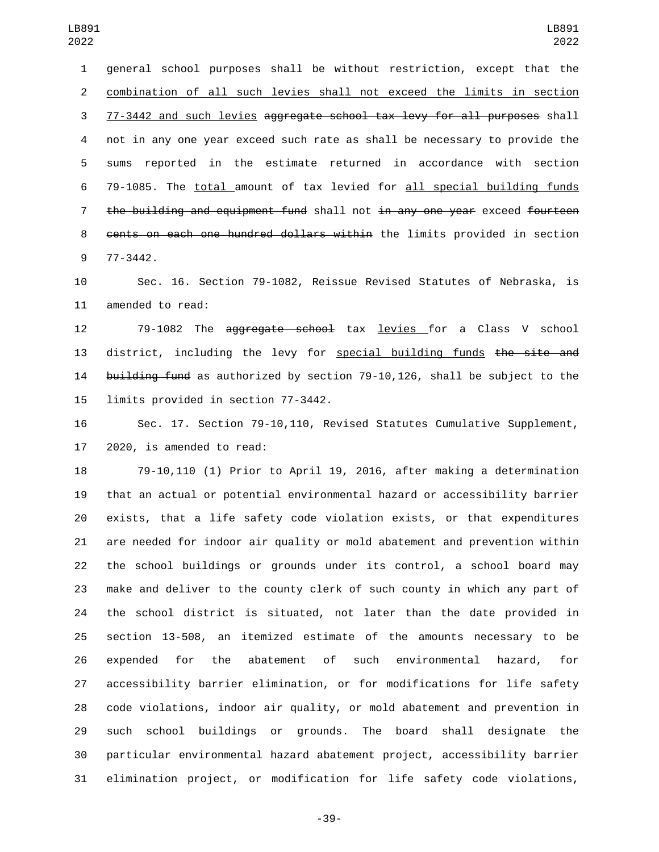general school purposes shall be without restriction, except that the combination of all such levies shall not exceed the limits in section 77-3442 and such levies aggregate school tax levy for all purposes shall not in any one year exceed such rate as shall be necessary to provide the sums reported in the estimate returned in accordance with section 79-1085. The total amount of tax levied for all special building funds 7 the building and equipment fund shall not in any one year exceed fourteen cents on each one hundred dollars within the limits provided in section 77-3442.9

 Sec. 16. Section 79-1082, Reissue Revised Statutes of Nebraska, is 11 amended to read:

 79-1082 The aggregate school tax levies for a Class V school 13 district, including the levy for special building funds the site and 14 building fund as authorized by section 79-10,126, shall be subject to the 15 limits provided in section 77-3442.

 Sec. 17. Section 79-10,110, Revised Statutes Cumulative Supplement, 2020, is amended to read:

 79-10,110 (1) Prior to April 19, 2016, after making a determination that an actual or potential environmental hazard or accessibility barrier exists, that a life safety code violation exists, or that expenditures are needed for indoor air quality or mold abatement and prevention within the school buildings or grounds under its control, a school board may make and deliver to the county clerk of such county in which any part of the school district is situated, not later than the date provided in section 13-508, an itemized estimate of the amounts necessary to be expended for the abatement of such environmental hazard, for accessibility barrier elimination, or for modifications for life safety code violations, indoor air quality, or mold abatement and prevention in such school buildings or grounds. The board shall designate the particular environmental hazard abatement project, accessibility barrier elimination project, or modification for life safety code violations,

-39-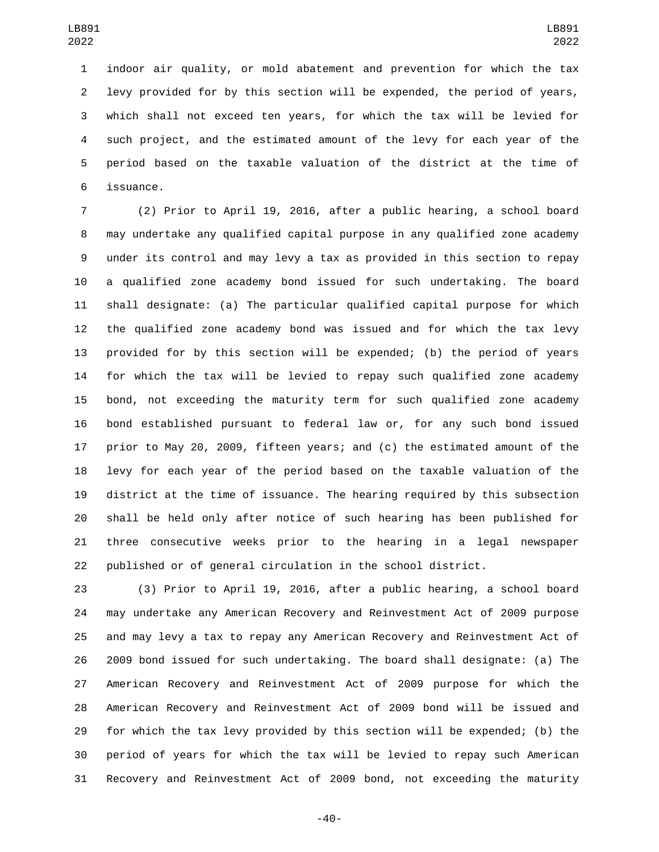indoor air quality, or mold abatement and prevention for which the tax levy provided for by this section will be expended, the period of years, which shall not exceed ten years, for which the tax will be levied for such project, and the estimated amount of the levy for each year of the period based on the taxable valuation of the district at the time of issuance.6

 (2) Prior to April 19, 2016, after a public hearing, a school board may undertake any qualified capital purpose in any qualified zone academy under its control and may levy a tax as provided in this section to repay a qualified zone academy bond issued for such undertaking. The board shall designate: (a) The particular qualified capital purpose for which the qualified zone academy bond was issued and for which the tax levy provided for by this section will be expended; (b) the period of years for which the tax will be levied to repay such qualified zone academy bond, not exceeding the maturity term for such qualified zone academy bond established pursuant to federal law or, for any such bond issued prior to May 20, 2009, fifteen years; and (c) the estimated amount of the levy for each year of the period based on the taxable valuation of the district at the time of issuance. The hearing required by this subsection shall be held only after notice of such hearing has been published for three consecutive weeks prior to the hearing in a legal newspaper published or of general circulation in the school district.

 (3) Prior to April 19, 2016, after a public hearing, a school board may undertake any American Recovery and Reinvestment Act of 2009 purpose and may levy a tax to repay any American Recovery and Reinvestment Act of 2009 bond issued for such undertaking. The board shall designate: (a) The American Recovery and Reinvestment Act of 2009 purpose for which the American Recovery and Reinvestment Act of 2009 bond will be issued and for which the tax levy provided by this section will be expended; (b) the period of years for which the tax will be levied to repay such American Recovery and Reinvestment Act of 2009 bond, not exceeding the maturity

-40-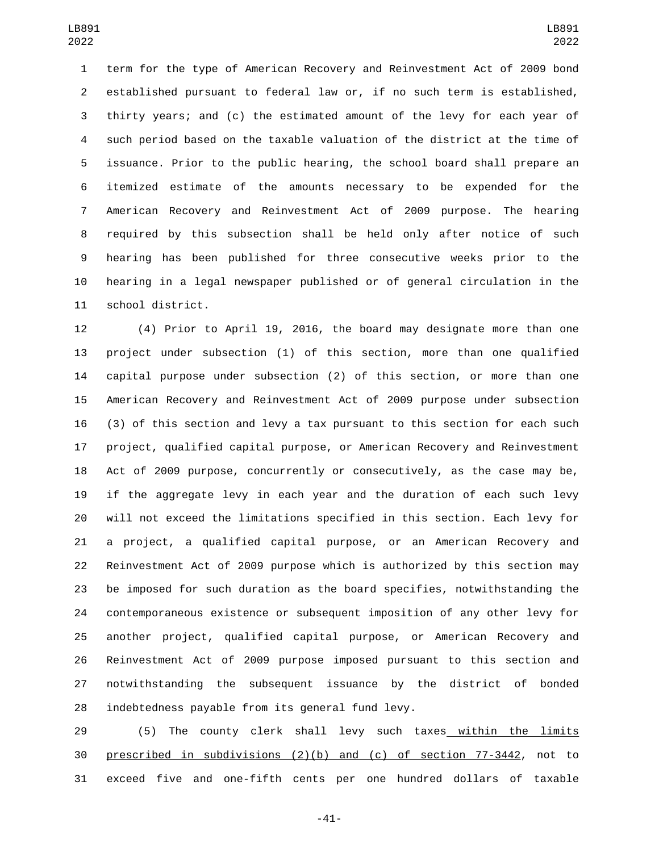term for the type of American Recovery and Reinvestment Act of 2009 bond established pursuant to federal law or, if no such term is established, thirty years; and (c) the estimated amount of the levy for each year of such period based on the taxable valuation of the district at the time of issuance. Prior to the public hearing, the school board shall prepare an itemized estimate of the amounts necessary to be expended for the American Recovery and Reinvestment Act of 2009 purpose. The hearing required by this subsection shall be held only after notice of such hearing has been published for three consecutive weeks prior to the hearing in a legal newspaper published or of general circulation in the 11 school district.

 (4) Prior to April 19, 2016, the board may designate more than one project under subsection (1) of this section, more than one qualified capital purpose under subsection (2) of this section, or more than one American Recovery and Reinvestment Act of 2009 purpose under subsection (3) of this section and levy a tax pursuant to this section for each such project, qualified capital purpose, or American Recovery and Reinvestment Act of 2009 purpose, concurrently or consecutively, as the case may be, if the aggregate levy in each year and the duration of each such levy will not exceed the limitations specified in this section. Each levy for a project, a qualified capital purpose, or an American Recovery and Reinvestment Act of 2009 purpose which is authorized by this section may be imposed for such duration as the board specifies, notwithstanding the contemporaneous existence or subsequent imposition of any other levy for another project, qualified capital purpose, or American Recovery and Reinvestment Act of 2009 purpose imposed pursuant to this section and notwithstanding the subsequent issuance by the district of bonded 28 indebtedness payable from its general fund levy.

29 (5) The county clerk shall levy such taxes within the limits prescribed in subdivisions (2)(b) and (c) of section 77-3442, not to exceed five and one-fifth cents per one hundred dollars of taxable

-41-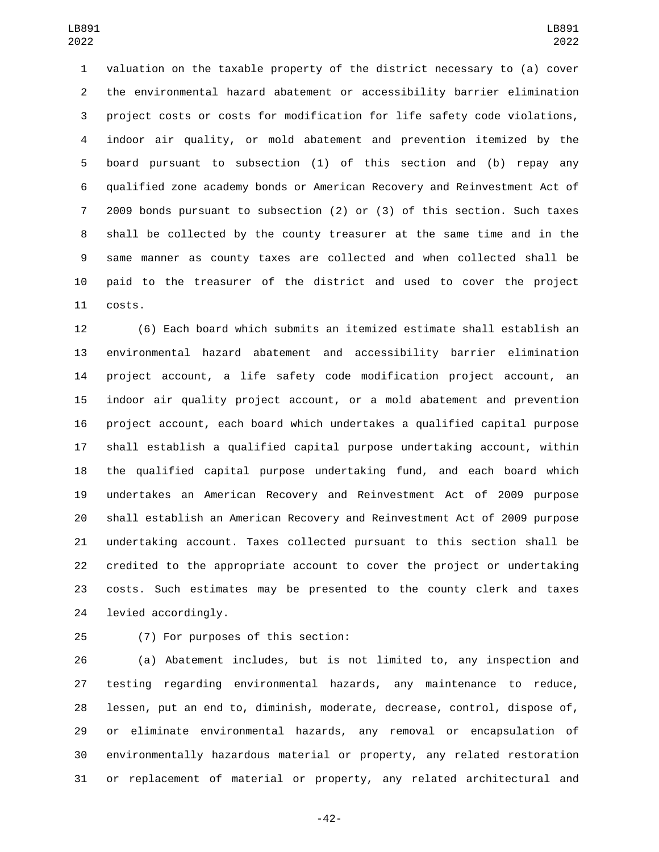valuation on the taxable property of the district necessary to (a) cover the environmental hazard abatement or accessibility barrier elimination project costs or costs for modification for life safety code violations, indoor air quality, or mold abatement and prevention itemized by the board pursuant to subsection (1) of this section and (b) repay any qualified zone academy bonds or American Recovery and Reinvestment Act of 2009 bonds pursuant to subsection (2) or (3) of this section. Such taxes shall be collected by the county treasurer at the same time and in the same manner as county taxes are collected and when collected shall be paid to the treasurer of the district and used to cover the project 11 costs.

 (6) Each board which submits an itemized estimate shall establish an environmental hazard abatement and accessibility barrier elimination project account, a life safety code modification project account, an indoor air quality project account, or a mold abatement and prevention project account, each board which undertakes a qualified capital purpose shall establish a qualified capital purpose undertaking account, within the qualified capital purpose undertaking fund, and each board which undertakes an American Recovery and Reinvestment Act of 2009 purpose shall establish an American Recovery and Reinvestment Act of 2009 purpose undertaking account. Taxes collected pursuant to this section shall be credited to the appropriate account to cover the project or undertaking costs. Such estimates may be presented to the county clerk and taxes 24 levied accordingly.

(7) For purposes of this section:25

 (a) Abatement includes, but is not limited to, any inspection and testing regarding environmental hazards, any maintenance to reduce, lessen, put an end to, diminish, moderate, decrease, control, dispose of, or eliminate environmental hazards, any removal or encapsulation of environmentally hazardous material or property, any related restoration or replacement of material or property, any related architectural and

-42-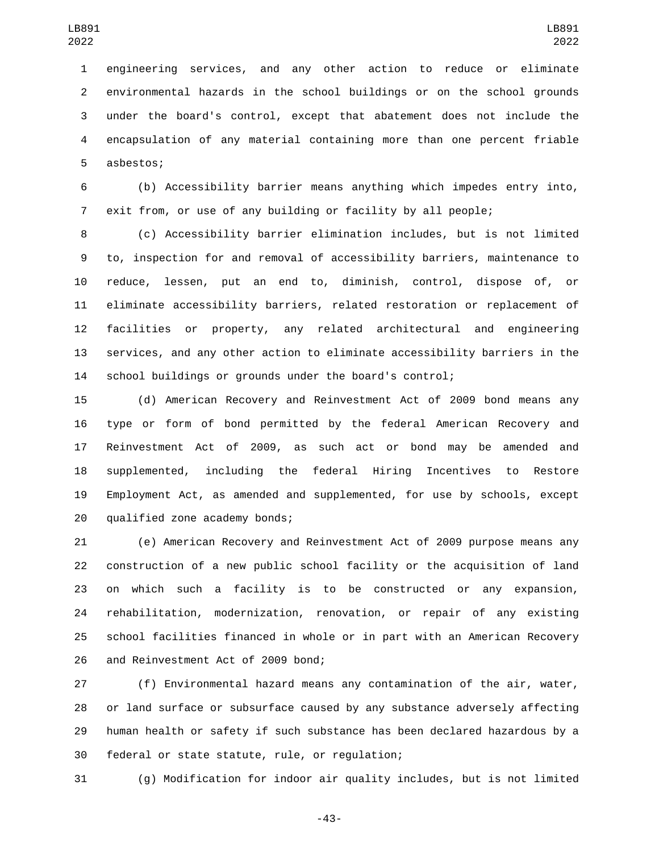engineering services, and any other action to reduce or eliminate environmental hazards in the school buildings or on the school grounds under the board's control, except that abatement does not include the encapsulation of any material containing more than one percent friable 5 asbestos;

 (b) Accessibility barrier means anything which impedes entry into, exit from, or use of any building or facility by all people;

 (c) Accessibility barrier elimination includes, but is not limited to, inspection for and removal of accessibility barriers, maintenance to reduce, lessen, put an end to, diminish, control, dispose of, or eliminate accessibility barriers, related restoration or replacement of facilities or property, any related architectural and engineering services, and any other action to eliminate accessibility barriers in the school buildings or grounds under the board's control;

 (d) American Recovery and Reinvestment Act of 2009 bond means any type or form of bond permitted by the federal American Recovery and Reinvestment Act of 2009, as such act or bond may be amended and supplemented, including the federal Hiring Incentives to Restore Employment Act, as amended and supplemented, for use by schools, except 20 qualified zone academy bonds;

 (e) American Recovery and Reinvestment Act of 2009 purpose means any construction of a new public school facility or the acquisition of land on which such a facility is to be constructed or any expansion, rehabilitation, modernization, renovation, or repair of any existing school facilities financed in whole or in part with an American Recovery 26 and Reinvestment Act of 2009 bond;

 (f) Environmental hazard means any contamination of the air, water, or land surface or subsurface caused by any substance adversely affecting human health or safety if such substance has been declared hazardous by a 30 federal or state statute, rule, or regulation;

(g) Modification for indoor air quality includes, but is not limited

-43-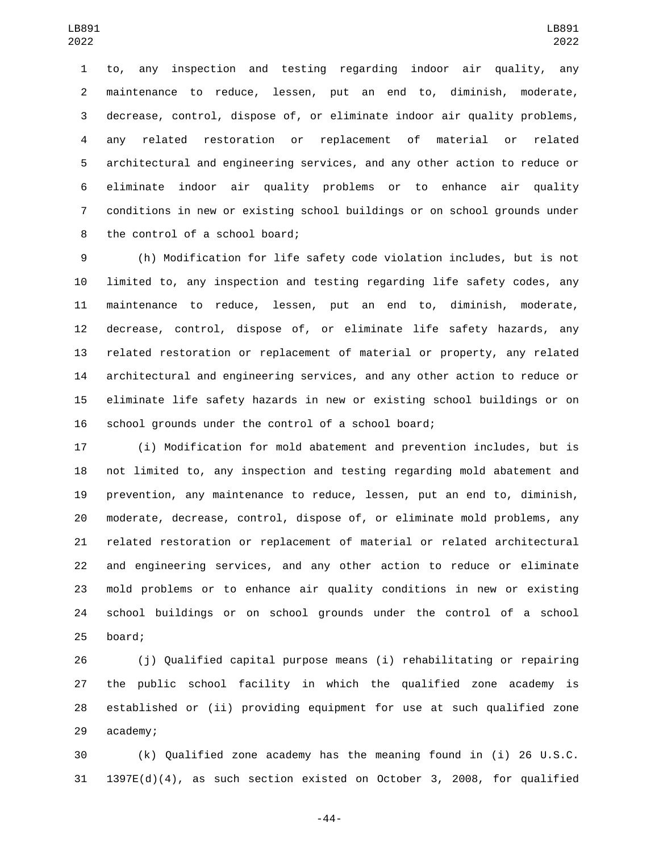to, any inspection and testing regarding indoor air quality, any maintenance to reduce, lessen, put an end to, diminish, moderate, decrease, control, dispose of, or eliminate indoor air quality problems, any related restoration or replacement of material or related architectural and engineering services, and any other action to reduce or eliminate indoor air quality problems or to enhance air quality conditions in new or existing school buildings or on school grounds under 8 the control of a school board;

 (h) Modification for life safety code violation includes, but is not limited to, any inspection and testing regarding life safety codes, any maintenance to reduce, lessen, put an end to, diminish, moderate, decrease, control, dispose of, or eliminate life safety hazards, any related restoration or replacement of material or property, any related architectural and engineering services, and any other action to reduce or eliminate life safety hazards in new or existing school buildings or on school grounds under the control of a school board;

 (i) Modification for mold abatement and prevention includes, but is not limited to, any inspection and testing regarding mold abatement and prevention, any maintenance to reduce, lessen, put an end to, diminish, moderate, decrease, control, dispose of, or eliminate mold problems, any related restoration or replacement of material or related architectural and engineering services, and any other action to reduce or eliminate mold problems or to enhance air quality conditions in new or existing school buildings or on school grounds under the control of a school 25 board;

 (j) Qualified capital purpose means (i) rehabilitating or repairing the public school facility in which the qualified zone academy is established or (ii) providing equipment for use at such qualified zone 29 academy;

 (k) Qualified zone academy has the meaning found in (i) 26 U.S.C. 1397E(d)(4), as such section existed on October 3, 2008, for qualified

-44-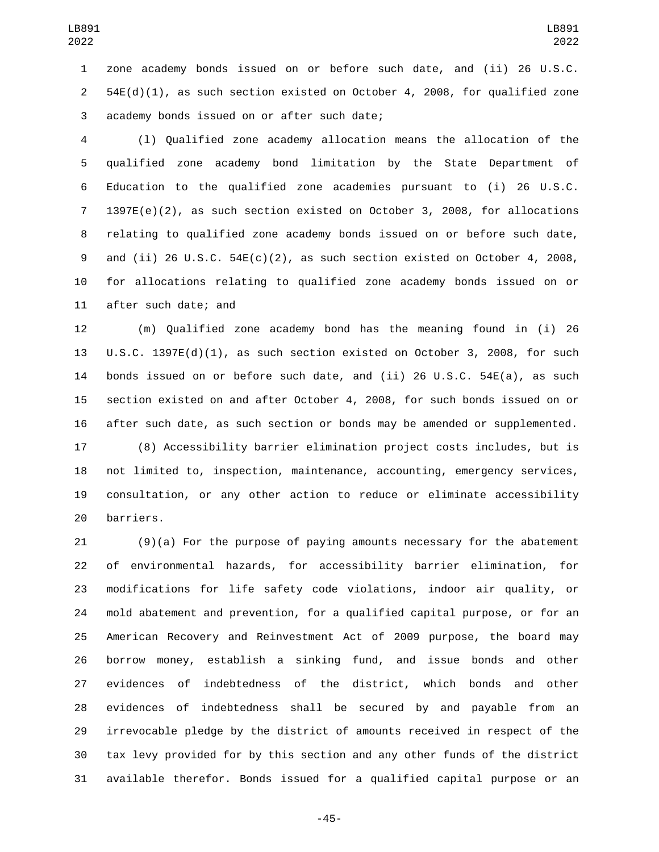zone academy bonds issued on or before such date, and (ii) 26 U.S.C. 54E(d)(1), as such section existed on October 4, 2008, for qualified zone 3 academy bonds issued on or after such date;

 (l) Qualified zone academy allocation means the allocation of the qualified zone academy bond limitation by the State Department of Education to the qualified zone academies pursuant to (i) 26 U.S.C. 1397E(e)(2), as such section existed on October 3, 2008, for allocations relating to qualified zone academy bonds issued on or before such date, and (ii) 26 U.S.C. 54E(c)(2), as such section existed on October 4, 2008, for allocations relating to qualified zone academy bonds issued on or 11 after such date; and

 (m) Qualified zone academy bond has the meaning found in (i) 26 U.S.C. 1397E(d)(1), as such section existed on October 3, 2008, for such bonds issued on or before such date, and (ii) 26 U.S.C. 54E(a), as such section existed on and after October 4, 2008, for such bonds issued on or after such date, as such section or bonds may be amended or supplemented.

 (8) Accessibility barrier elimination project costs includes, but is not limited to, inspection, maintenance, accounting, emergency services, consultation, or any other action to reduce or eliminate accessibility 20 barriers.

 (9)(a) For the purpose of paying amounts necessary for the abatement of environmental hazards, for accessibility barrier elimination, for modifications for life safety code violations, indoor air quality, or mold abatement and prevention, for a qualified capital purpose, or for an American Recovery and Reinvestment Act of 2009 purpose, the board may borrow money, establish a sinking fund, and issue bonds and other evidences of indebtedness of the district, which bonds and other evidences of indebtedness shall be secured by and payable from an irrevocable pledge by the district of amounts received in respect of the tax levy provided for by this section and any other funds of the district available therefor. Bonds issued for a qualified capital purpose or an

-45-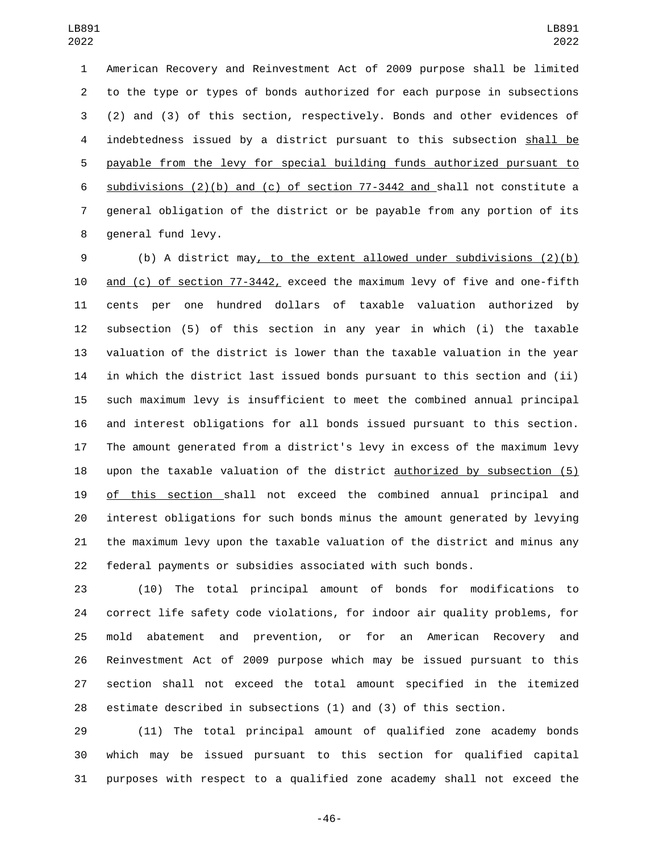American Recovery and Reinvestment Act of 2009 purpose shall be limited to the type or types of bonds authorized for each purpose in subsections (2) and (3) of this section, respectively. Bonds and other evidences of indebtedness issued by a district pursuant to this subsection shall be payable from the levy for special building funds authorized pursuant to subdivisions (2)(b) and (c) of section 77-3442 and shall not constitute a general obligation of the district or be payable from any portion of its 8 general fund levy.

 (b) A district may, to the extent allowed under subdivisions (2)(b) and (c) of section 77-3442, exceed the maximum levy of five and one-fifth cents per one hundred dollars of taxable valuation authorized by subsection (5) of this section in any year in which (i) the taxable valuation of the district is lower than the taxable valuation in the year in which the district last issued bonds pursuant to this section and (ii) such maximum levy is insufficient to meet the combined annual principal and interest obligations for all bonds issued pursuant to this section. The amount generated from a district's levy in excess of the maximum levy upon the taxable valuation of the district authorized by subsection (5) of this section shall not exceed the combined annual principal and interest obligations for such bonds minus the amount generated by levying the maximum levy upon the taxable valuation of the district and minus any federal payments or subsidies associated with such bonds.

 (10) The total principal amount of bonds for modifications to correct life safety code violations, for indoor air quality problems, for mold abatement and prevention, or for an American Recovery and Reinvestment Act of 2009 purpose which may be issued pursuant to this section shall not exceed the total amount specified in the itemized estimate described in subsections (1) and (3) of this section.

 (11) The total principal amount of qualified zone academy bonds which may be issued pursuant to this section for qualified capital purposes with respect to a qualified zone academy shall not exceed the

-46-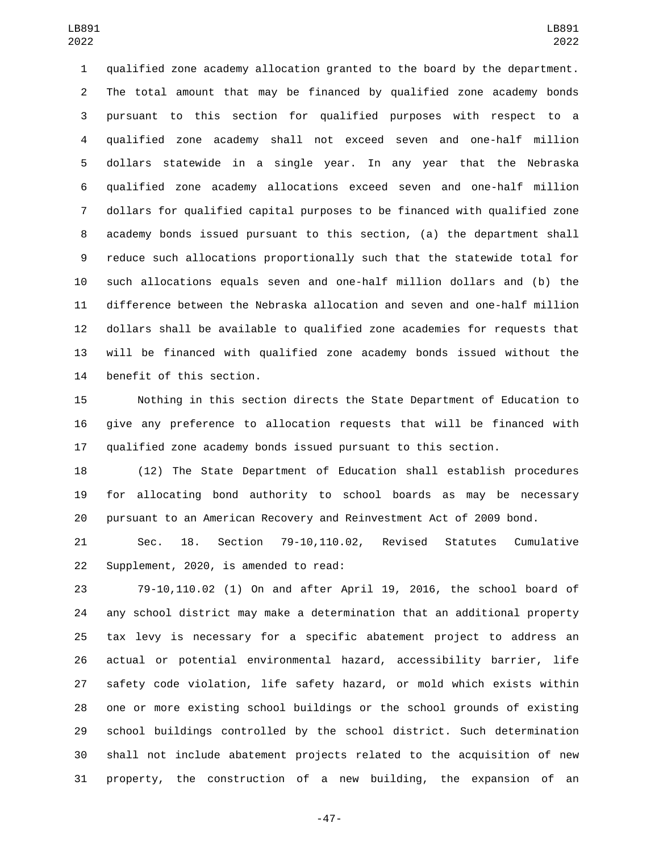qualified zone academy allocation granted to the board by the department. The total amount that may be financed by qualified zone academy bonds pursuant to this section for qualified purposes with respect to a qualified zone academy shall not exceed seven and one-half million dollars statewide in a single year. In any year that the Nebraska qualified zone academy allocations exceed seven and one-half million dollars for qualified capital purposes to be financed with qualified zone academy bonds issued pursuant to this section, (a) the department shall reduce such allocations proportionally such that the statewide total for such allocations equals seven and one-half million dollars and (b) the difference between the Nebraska allocation and seven and one-half million dollars shall be available to qualified zone academies for requests that will be financed with qualified zone academy bonds issued without the 14 benefit of this section.

 Nothing in this section directs the State Department of Education to give any preference to allocation requests that will be financed with qualified zone academy bonds issued pursuant to this section.

 (12) The State Department of Education shall establish procedures for allocating bond authority to school boards as may be necessary pursuant to an American Recovery and Reinvestment Act of 2009 bond.

 Sec. 18. Section 79-10,110.02, Revised Statutes Cumulative 22 Supplement, 2020, is amended to read:

 79-10,110.02 (1) On and after April 19, 2016, the school board of any school district may make a determination that an additional property tax levy is necessary for a specific abatement project to address an actual or potential environmental hazard, accessibility barrier, life safety code violation, life safety hazard, or mold which exists within one or more existing school buildings or the school grounds of existing school buildings controlled by the school district. Such determination shall not include abatement projects related to the acquisition of new property, the construction of a new building, the expansion of an

-47-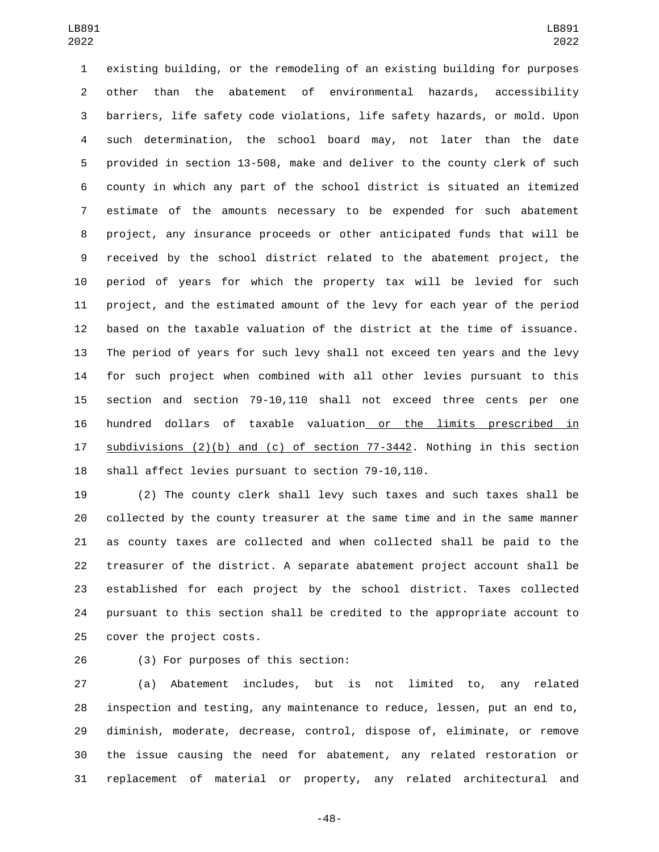existing building, or the remodeling of an existing building for purposes other than the abatement of environmental hazards, accessibility barriers, life safety code violations, life safety hazards, or mold. Upon such determination, the school board may, not later than the date provided in section 13-508, make and deliver to the county clerk of such county in which any part of the school district is situated an itemized estimate of the amounts necessary to be expended for such abatement project, any insurance proceeds or other anticipated funds that will be received by the school district related to the abatement project, the period of years for which the property tax will be levied for such project, and the estimated amount of the levy for each year of the period based on the taxable valuation of the district at the time of issuance. The period of years for such levy shall not exceed ten years and the levy for such project when combined with all other levies pursuant to this section and section 79-10,110 shall not exceed three cents per one hundred dollars of taxable valuation or the limits prescribed in 17 subdivisions (2)(b) and (c) of section 77-3442. Nothing in this section shall affect levies pursuant to section 79-10,110.

 (2) The county clerk shall levy such taxes and such taxes shall be collected by the county treasurer at the same time and in the same manner as county taxes are collected and when collected shall be paid to the treasurer of the district. A separate abatement project account shall be established for each project by the school district. Taxes collected pursuant to this section shall be credited to the appropriate account to 25 cover the project costs.

26 (3) For purposes of this section:

 (a) Abatement includes, but is not limited to, any related inspection and testing, any maintenance to reduce, lessen, put an end to, diminish, moderate, decrease, control, dispose of, eliminate, or remove the issue causing the need for abatement, any related restoration or replacement of material or property, any related architectural and

-48-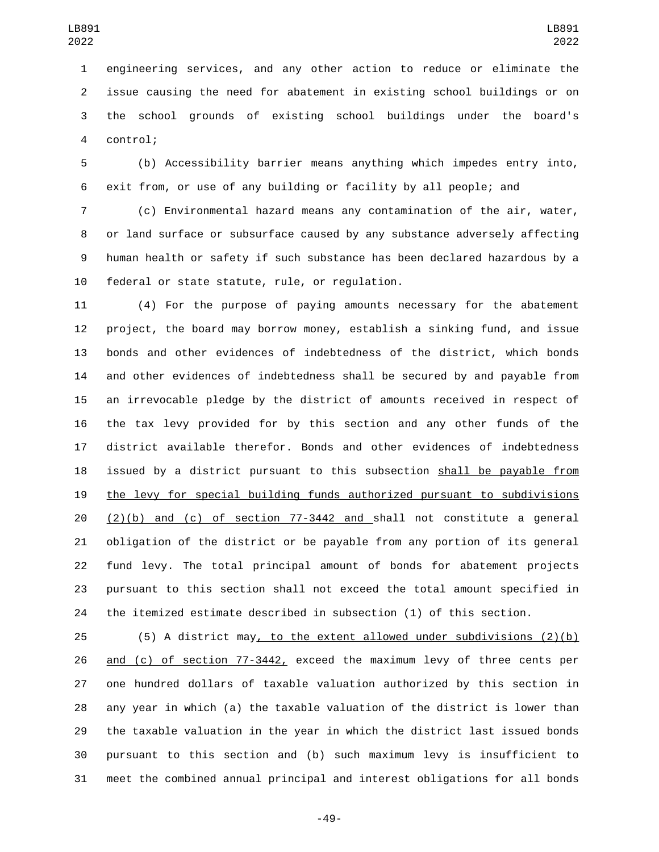engineering services, and any other action to reduce or eliminate the issue causing the need for abatement in existing school buildings or on the school grounds of existing school buildings under the board's control;4

 (b) Accessibility barrier means anything which impedes entry into, exit from, or use of any building or facility by all people; and

 (c) Environmental hazard means any contamination of the air, water, or land surface or subsurface caused by any substance adversely affecting human health or safety if such substance has been declared hazardous by a 10 federal or state statute, rule, or regulation.

 (4) For the purpose of paying amounts necessary for the abatement project, the board may borrow money, establish a sinking fund, and issue bonds and other evidences of indebtedness of the district, which bonds and other evidences of indebtedness shall be secured by and payable from an irrevocable pledge by the district of amounts received in respect of the tax levy provided for by this section and any other funds of the district available therefor. Bonds and other evidences of indebtedness 18 issued by a district pursuant to this subsection shall be payable from the levy for special building funds authorized pursuant to subdivisions (2)(b) and (c) of section 77-3442 and shall not constitute a general obligation of the district or be payable from any portion of its general fund levy. The total principal amount of bonds for abatement projects pursuant to this section shall not exceed the total amount specified in the itemized estimate described in subsection (1) of this section.

 (5) A district may, to the extent allowed under subdivisions (2)(b) and (c) of section 77-3442, exceed the maximum levy of three cents per one hundred dollars of taxable valuation authorized by this section in any year in which (a) the taxable valuation of the district is lower than the taxable valuation in the year in which the district last issued bonds pursuant to this section and (b) such maximum levy is insufficient to meet the combined annual principal and interest obligations for all bonds

-49-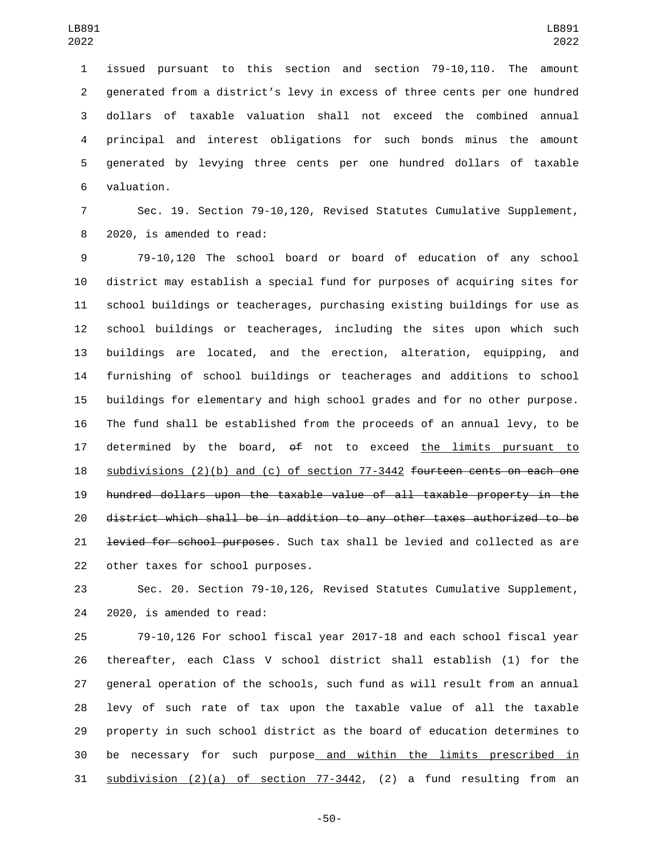issued pursuant to this section and section 79-10,110. The amount generated from a district's levy in excess of three cents per one hundred dollars of taxable valuation shall not exceed the combined annual principal and interest obligations for such bonds minus the amount generated by levying three cents per one hundred dollars of taxable valuation.6

 Sec. 19. Section 79-10,120, Revised Statutes Cumulative Supplement, 8 2020, is amended to read:

 79-10,120 The school board or board of education of any school district may establish a special fund for purposes of acquiring sites for school buildings or teacherages, purchasing existing buildings for use as school buildings or teacherages, including the sites upon which such buildings are located, and the erection, alteration, equipping, and furnishing of school buildings or teacherages and additions to school buildings for elementary and high school grades and for no other purpose. The fund shall be established from the proceeds of an annual levy, to be 17 determined by the board,  $\theta$  not to exceed the limits pursuant to subdivisions (2)(b) and (c) of section 77-3442 fourteen cents on each one hundred dollars upon the taxable value of all taxable property in the district which shall be in addition to any other taxes authorized to be 21 <del>levied for school purposes</del>. Such tax shall be levied and collected as are 22 other taxes for school purposes.

 Sec. 20. Section 79-10,126, Revised Statutes Cumulative Supplement, 24 2020, is amended to read:

 79-10,126 For school fiscal year 2017-18 and each school fiscal year thereafter, each Class V school district shall establish (1) for the general operation of the schools, such fund as will result from an annual levy of such rate of tax upon the taxable value of all the taxable property in such school district as the board of education determines to be necessary for such purpose and within the limits prescribed in subdivision (2)(a) of section 77-3442, (2) a fund resulting from an

-50-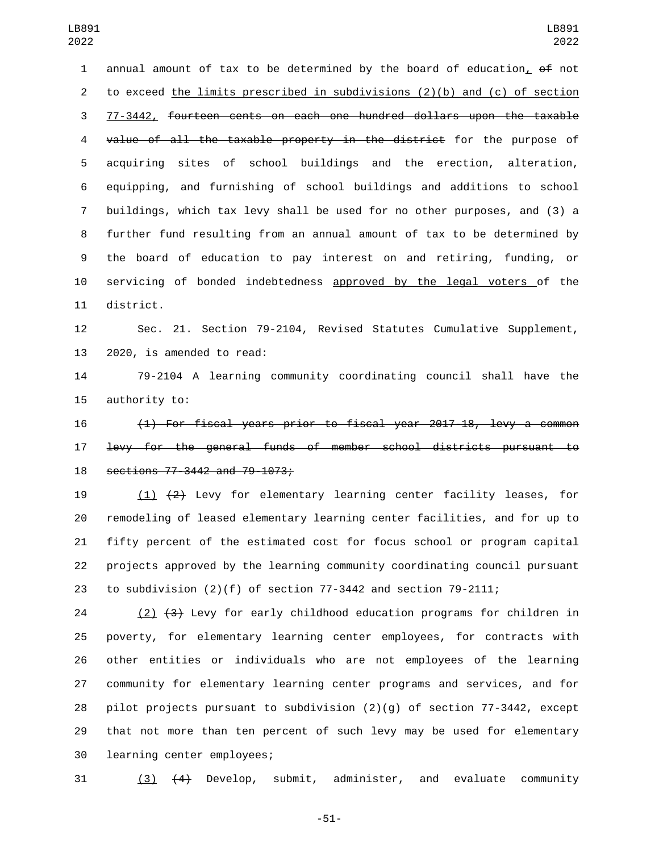1 annual amount of tax to be determined by the board of education, of not to exceed the limits prescribed in subdivisions (2)(b) and (c) of section 77-3442, fourteen cents on each one hundred dollars upon the taxable value of all the taxable property in the district for the purpose of acquiring sites of school buildings and the erection, alteration, equipping, and furnishing of school buildings and additions to school buildings, which tax levy shall be used for no other purposes, and (3) a further fund resulting from an annual amount of tax to be determined by the board of education to pay interest on and retiring, funding, or servicing of bonded indebtedness approved by the legal voters of the 11 district.

 Sec. 21. Section 79-2104, Revised Statutes Cumulative Supplement, 13 2020, is amended to read:

 79-2104 A learning community coordinating council shall have the 15 authority to:

 (1) For fiscal years prior to fiscal year 2017-18, levy a common levy for the general funds of member school districts pursuant to 18 sections 77-3442 and 79-1073;

 (1) (2) Levy for elementary learning center facility leases, for remodeling of leased elementary learning center facilities, and for up to fifty percent of the estimated cost for focus school or program capital projects approved by the learning community coordinating council pursuant to subdivision (2)(f) of section 77-3442 and section 79-2111;

 (2) (3) Levy for early childhood education programs for children in poverty, for elementary learning center employees, for contracts with other entities or individuals who are not employees of the learning community for elementary learning center programs and services, and for pilot projects pursuant to subdivision (2)(g) of section 77-3442, except that not more than ten percent of such levy may be used for elementary 30 learning center employees;

(3) (4) Develop, submit, administer, and evaluate community

-51-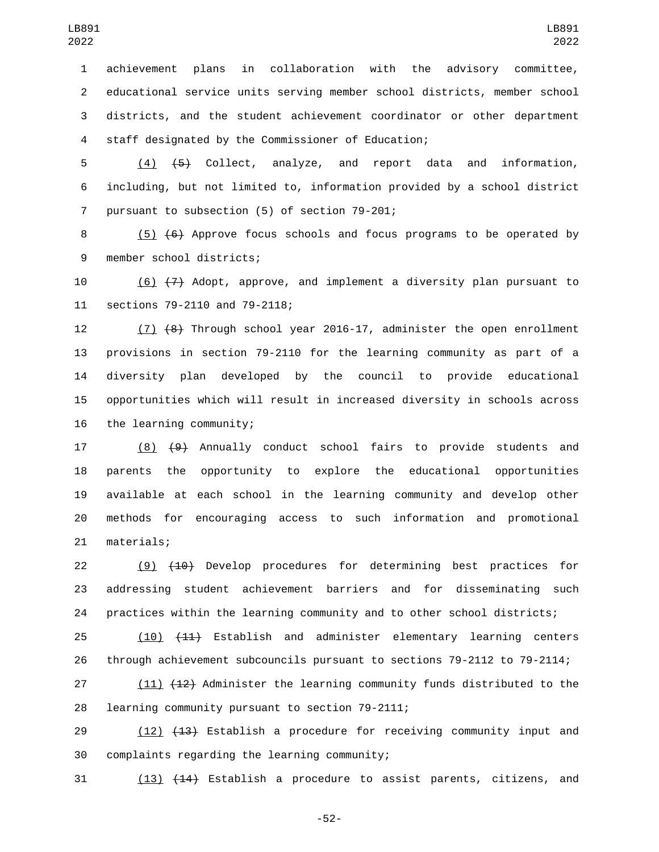achievement plans in collaboration with the advisory committee, educational service units serving member school districts, member school districts, and the student achievement coordinator or other department staff designated by the Commissioner of Education;4

 (4) (5) Collect, analyze, and report data and information, including, but not limited to, information provided by a school district 7 pursuant to subsection (5) of section 79-201;

 (5) (6) Approve focus schools and focus programs to be operated by 9 member school districts;

 (6) (7) Adopt, approve, and implement a diversity plan pursuant to 11 sections 79-2110 and 79-2118;

 (7) (8) Through school year 2016-17, administer the open enrollment provisions in section 79-2110 for the learning community as part of a diversity plan developed by the council to provide educational opportunities which will result in increased diversity in schools across 16 the learning community;

 (8) (9) Annually conduct school fairs to provide students and parents the opportunity to explore the educational opportunities available at each school in the learning community and develop other methods for encouraging access to such information and promotional 21 materials;

22 (9)  $(10)$  Develop procedures for determining best practices for addressing student achievement barriers and for disseminating such practices within the learning community and to other school districts;

 (10) (11) Establish and administer elementary learning centers through achievement subcouncils pursuant to sections 79-2112 to 79-2114;

 (11) (12) Administer the learning community funds distributed to the 28 learning community pursuant to section 79-2111;

29 (12) (13) Establish a procedure for receiving community input and complaints regarding the learning community;

(13) (14) Establish a procedure to assist parents, citizens, and

-52-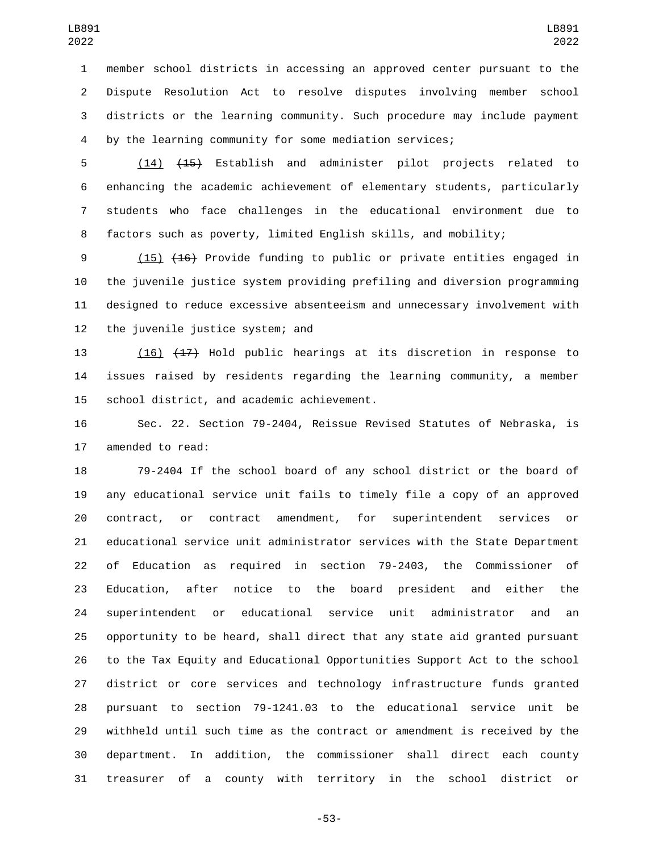member school districts in accessing an approved center pursuant to the Dispute Resolution Act to resolve disputes involving member school districts or the learning community. Such procedure may include payment by the learning community for some mediation services;

 (14) (15) Establish and administer pilot projects related to enhancing the academic achievement of elementary students, particularly students who face challenges in the educational environment due to factors such as poverty, limited English skills, and mobility;

 (15) (16) Provide funding to public or private entities engaged in the juvenile justice system providing prefiling and diversion programming designed to reduce excessive absenteeism and unnecessary involvement with 12 the juvenile justice system; and

 (16) (17) Hold public hearings at its discretion in response to issues raised by residents regarding the learning community, a member 15 school district, and academic achievement.

 Sec. 22. Section 79-2404, Reissue Revised Statutes of Nebraska, is 17 amended to read:

 79-2404 If the school board of any school district or the board of any educational service unit fails to timely file a copy of an approved contract, or contract amendment, for superintendent services or educational service unit administrator services with the State Department of Education as required in section 79-2403, the Commissioner of Education, after notice to the board president and either the superintendent or educational service unit administrator and an opportunity to be heard, shall direct that any state aid granted pursuant to the Tax Equity and Educational Opportunities Support Act to the school district or core services and technology infrastructure funds granted pursuant to section 79-1241.03 to the educational service unit be withheld until such time as the contract or amendment is received by the department. In addition, the commissioner shall direct each county treasurer of a county with territory in the school district or

-53-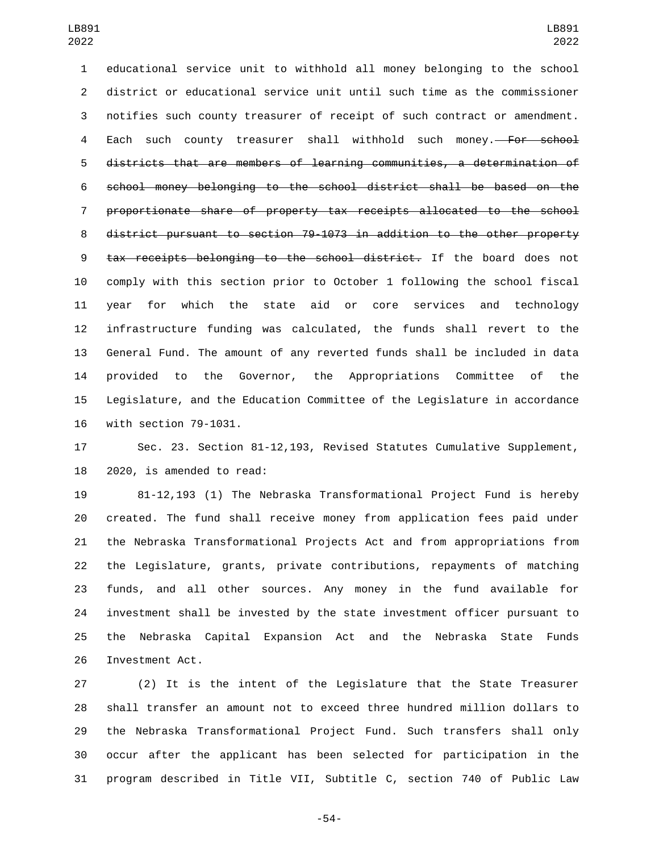educational service unit to withhold all money belonging to the school district or educational service unit until such time as the commissioner notifies such county treasurer of receipt of such contract or amendment. 4 Each such county treasurer shall withhold such money.<del> For school</del> districts that are members of learning communities, a determination of school money belonging to the school district shall be based on the proportionate share of property tax receipts allocated to the school district pursuant to section 79-1073 in addition to the other property tax receipts belonging to the school district. If the board does not comply with this section prior to October 1 following the school fiscal year for which the state aid or core services and technology infrastructure funding was calculated, the funds shall revert to the General Fund. The amount of any reverted funds shall be included in data provided to the Governor, the Appropriations Committee of the Legislature, and the Education Committee of the Legislature in accordance 16 with section 79-1031.

 Sec. 23. Section 81-12,193, Revised Statutes Cumulative Supplement, 2020, is amended to read:

 81-12,193 (1) The Nebraska Transformational Project Fund is hereby created. The fund shall receive money from application fees paid under the Nebraska Transformational Projects Act and from appropriations from the Legislature, grants, private contributions, repayments of matching funds, and all other sources. Any money in the fund available for investment shall be invested by the state investment officer pursuant to the Nebraska Capital Expansion Act and the Nebraska State Funds 26 Investment Act.

 (2) It is the intent of the Legislature that the State Treasurer shall transfer an amount not to exceed three hundred million dollars to the Nebraska Transformational Project Fund. Such transfers shall only occur after the applicant has been selected for participation in the program described in Title VII, Subtitle C, section 740 of Public Law

-54-